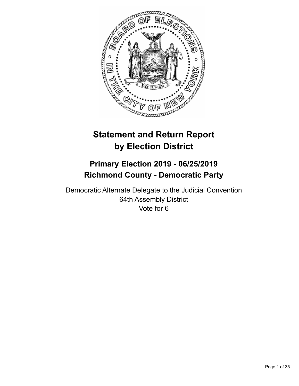

# **Statement and Return Report by Election District**

# **Primary Election 2019 - 06/25/2019 Richmond County - Democratic Party**

Democratic Alternate Delegate to the Judicial Convention 64th Assembly District Vote for 6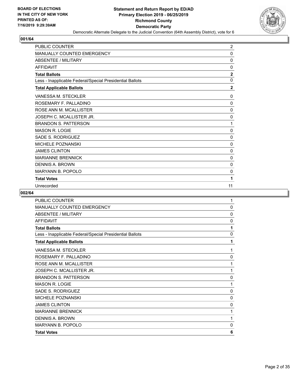

| PUBLIC COUNTER                                           | $\overline{2}$ |
|----------------------------------------------------------|----------------|
| MANUALLY COUNTED EMERGENCY                               | $\Omega$       |
| <b>ABSENTEE / MILITARY</b>                               | $\mathbf{0}$   |
| <b>AFFIDAVIT</b>                                         | $\mathbf{0}$   |
| <b>Total Ballots</b>                                     | $\overline{2}$ |
| Less - Inapplicable Federal/Special Presidential Ballots | $\mathbf{0}$   |
| <b>Total Applicable Ballots</b>                          | $\mathbf{2}$   |
| VANESSA M. STECKLER                                      | 0              |
| ROSEMARY F. PALLADINO                                    | $\mathbf{0}$   |
| ROSE ANN M. MCALLISTER                                   | 0              |
| JOSEPH C. MCALLISTER JR.                                 | 0              |
| <b>BRANDON S. PATTERSON</b>                              | 1              |
| <b>MASON R. LOGIE</b>                                    | $\mathbf{0}$   |
| <b>SADE S. RODRIGUEZ</b>                                 | 0              |
| <b>MICHELE POZNANSKI</b>                                 | 0              |
| <b>JAMES CLINTON</b>                                     | 0              |
| <b>MARIANNE BRENNICK</b>                                 | 0              |
| <b>DENNIS A. BROWN</b>                                   | 0              |
| <b>MARYANN B. POPOLO</b>                                 | 0              |
| <b>Total Votes</b>                                       | 1              |
| Unrecorded                                               | 11             |

| <b>PUBLIC COUNTER</b>                                    | 1            |
|----------------------------------------------------------|--------------|
| <b>MANUALLY COUNTED EMERGENCY</b>                        | $\mathbf{0}$ |
| <b>ABSENTEE / MILITARY</b>                               | 0            |
| <b>AFFIDAVIT</b>                                         | 0            |
| <b>Total Ballots</b>                                     | 1            |
| Less - Inapplicable Federal/Special Presidential Ballots | $\mathbf{0}$ |
| <b>Total Applicable Ballots</b>                          | 1            |
| VANESSA M. STECKLER                                      | 1            |
| ROSEMARY F. PALLADINO                                    | 0            |
| ROSE ANN M. MCALLISTER                                   | 1            |
| JOSEPH C. MCALLISTER JR.                                 | 1            |
| <b>BRANDON S. PATTERSON</b>                              | 0            |
| <b>MASON R. LOGIE</b>                                    | 1            |
| SADE S. RODRIGUEZ                                        | $\mathbf 0$  |
| <b>MICHELE POZNANSKI</b>                                 | $\mathbf 0$  |
| <b>JAMES CLINTON</b>                                     | $\mathbf 0$  |
| <b>MARIANNE BRENNICK</b>                                 | 1            |
| DENNIS A. BROWN                                          | 1            |
| <b>MARYANN B. POPOLO</b>                                 | $\mathbf{0}$ |
| <b>Total Votes</b>                                       | 6            |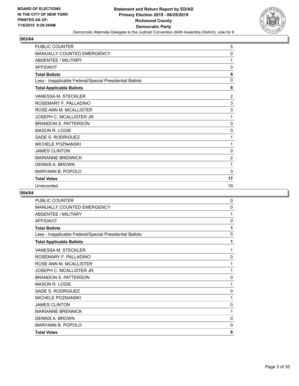

| <b>PUBLIC COUNTER</b>                                    | 5              |
|----------------------------------------------------------|----------------|
| <b>MANUALLY COUNTED EMERGENCY</b>                        | 0              |
| <b>ABSENTEE / MILITARY</b>                               | 1              |
| <b>AFFIDAVIT</b>                                         | 0              |
| <b>Total Ballots</b>                                     | 6              |
| Less - Inapplicable Federal/Special Presidential Ballots | 0              |
| <b>Total Applicable Ballots</b>                          | 6              |
| VANESSA M. STECKLER                                      | $\overline{2}$ |
| ROSEMARY F. PALLADINO                                    | 3              |
| ROSE ANN M. MCALLISTER                                   | 3              |
| JOSEPH C. MCALLISTER JR.                                 | 1              |
| <b>BRANDON S. PATTERSON</b>                              | $\mathbf 0$    |
| <b>MASON R. LOGIE</b>                                    | 0              |
| SADE S. RODRIGUEZ                                        | 1              |
| <b>MICHELE POZNANSKI</b>                                 | 1              |
| <b>JAMES CLINTON</b>                                     | 0              |
| <b>MARIANNE BRENNICK</b>                                 | $\overline{2}$ |
| <b>DENNIS A. BROWN</b>                                   | 1              |
| <b>MARYANN B. POPOLO</b>                                 | 3              |
| <b>Total Votes</b>                                       | 17             |
| Unrecorded                                               | 19             |

| PUBLIC COUNTER                                           | 0            |
|----------------------------------------------------------|--------------|
| <b>MANUALLY COUNTED EMERGENCY</b>                        | $\mathbf{0}$ |
| <b>ABSENTEE / MILITARY</b>                               | 1            |
| <b>AFFIDAVIT</b>                                         | 0            |
| <b>Total Ballots</b>                                     | 1            |
| Less - Inapplicable Federal/Special Presidential Ballots | 0            |
| <b>Total Applicable Ballots</b>                          | 1            |
| VANESSA M. STECKLER                                      | 1            |
| ROSEMARY F. PALLADINO                                    | 0            |
| ROSE ANN M. MCALLISTER                                   | 1            |
| JOSEPH C. MCALLISTER JR.                                 | 1            |
| <b>BRANDON S. PATTERSON</b>                              | 0            |
| <b>MASON R. LOGIE</b>                                    | 1            |
| SADE S. RODRIGUEZ                                        | 0            |
| <b>MICHELE POZNANSKI</b>                                 | 1            |
| <b>JAMES CLINTON</b>                                     | 0            |
| <b>MARIANNE BRENNICK</b>                                 | 1            |
| <b>DENNIS A. BROWN</b>                                   | 0            |
| <b>MARYANN B. POPOLO</b>                                 | 0            |
| <b>Total Votes</b>                                       | 6            |
|                                                          |              |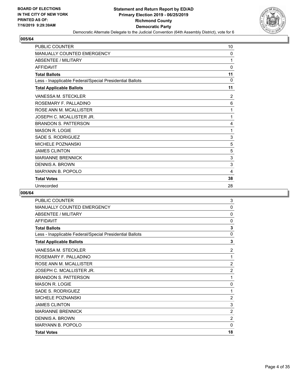

| PUBLIC COUNTER                                           | 10             |
|----------------------------------------------------------|----------------|
| MANUALLY COUNTED EMERGENCY                               | 0              |
| <b>ABSENTEE / MILITARY</b>                               | 1              |
| <b>AFFIDAVIT</b>                                         | $\Omega$       |
| <b>Total Ballots</b>                                     | 11             |
| Less - Inapplicable Federal/Special Presidential Ballots | $\Omega$       |
| <b>Total Applicable Ballots</b>                          | 11             |
| VANESSA M. STECKLER                                      | $\overline{2}$ |
| ROSEMARY F. PALLADINO                                    | 6              |
| ROSE ANN M. MCALLISTER                                   | 1              |
| JOSEPH C. MCALLISTER JR.                                 | 1              |
| <b>BRANDON S. PATTERSON</b>                              | 4              |
| <b>MASON R. LOGIE</b>                                    | 1              |
| SADE S. RODRIGUEZ                                        | 3              |
| <b>MICHELE POZNANSKI</b>                                 | 5              |
| <b>JAMES CLINTON</b>                                     | 5              |
| <b>MARIANNE BRENNICK</b>                                 | 3              |
| <b>DENNIS A. BROWN</b>                                   | 3              |
| <b>MARYANN B. POPOLO</b>                                 | 4              |
| <b>Total Votes</b>                                       | 38             |
| Unrecorded                                               | 28             |

| <b>PUBLIC COUNTER</b>                                    | 3              |
|----------------------------------------------------------|----------------|
| MANUALLY COUNTED EMERGENCY                               | $\Omega$       |
| <b>ABSENTEE / MILITARY</b>                               | $\mathbf{0}$   |
| <b>AFFIDAVIT</b>                                         | 0              |
| <b>Total Ballots</b>                                     | 3              |
| Less - Inapplicable Federal/Special Presidential Ballots | 0              |
| <b>Total Applicable Ballots</b>                          | 3              |
| <b>VANESSA M. STECKLER</b>                               | $\overline{2}$ |
| ROSEMARY F. PALLADINO                                    | 1              |
| ROSE ANN M. MCALLISTER                                   | $\overline{2}$ |
| JOSEPH C. MCALLISTER JR.                                 | 2              |
| <b>BRANDON S. PATTERSON</b>                              | 1              |
| <b>MASON R. LOGIE</b>                                    | 0              |
| SADE S. RODRIGUEZ                                        | 1              |
| <b>MICHELE POZNANSKI</b>                                 | $\overline{2}$ |
| <b>JAMES CLINTON</b>                                     | 3              |
| <b>MARIANNE BRENNICK</b>                                 | $\overline{2}$ |
| <b>DENNIS A. BROWN</b>                                   | $\overline{2}$ |
| <b>MARYANN B. POPOLO</b>                                 | $\mathbf{0}$   |
| <b>Total Votes</b>                                       | 18             |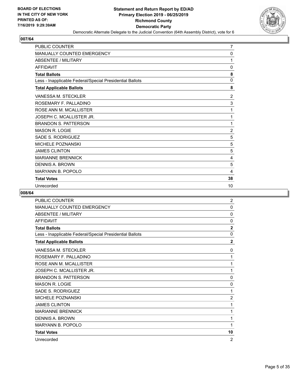

| PUBLIC COUNTER                                           | $\overline{7}$ |
|----------------------------------------------------------|----------------|
| MANUALLY COUNTED EMERGENCY                               | $\Omega$       |
| <b>ABSENTEE / MILITARY</b>                               | 1              |
| <b>AFFIDAVIT</b>                                         | $\mathbf{0}$   |
| <b>Total Ballots</b>                                     | 8              |
| Less - Inapplicable Federal/Special Presidential Ballots | $\mathbf{0}$   |
| <b>Total Applicable Ballots</b>                          | 8              |
| VANESSA M. STECKLER                                      | $\overline{2}$ |
| ROSEMARY F. PALLADINO                                    | 3              |
| ROSE ANN M. MCALLISTER                                   | 1              |
| JOSEPH C. MCALLISTER JR.                                 | 1              |
| <b>BRANDON S. PATTERSON</b>                              | 1              |
| <b>MASON R. LOGIE</b>                                    | $\overline{2}$ |
| SADE S. RODRIGUEZ                                        | 5              |
| <b>MICHELE POZNANSKI</b>                                 | 5              |
| <b>JAMES CLINTON</b>                                     | 5              |
| <b>MARIANNE BRENNICK</b>                                 | 4              |
| <b>DENNIS A. BROWN</b>                                   | 5              |
| <b>MARYANN B. POPOLO</b>                                 | 4              |
| <b>Total Votes</b>                                       | 38             |
| Unrecorded                                               | 10             |

| PUBLIC COUNTER                                           | $\overline{2}$ |
|----------------------------------------------------------|----------------|
| <b>MANUALLY COUNTED EMERGENCY</b>                        | $\mathbf{0}$   |
| <b>ABSENTEE / MILITARY</b>                               | 0              |
| <b>AFFIDAVIT</b>                                         | $\mathbf{0}$   |
| <b>Total Ballots</b>                                     | $\overline{2}$ |
| Less - Inapplicable Federal/Special Presidential Ballots | $\mathbf{0}$   |
| <b>Total Applicable Ballots</b>                          | $\overline{2}$ |
| VANESSA M. STECKLER                                      | 0              |
| ROSEMARY F. PALLADINO                                    | 1              |
| ROSE ANN M. MCALLISTER                                   | 1              |
| JOSEPH C. MCALLISTER JR.                                 | 1              |
| <b>BRANDON S. PATTERSON</b>                              | $\mathbf{0}$   |
| <b>MASON R. LOGIE</b>                                    | 0              |
| SADE S. RODRIGUEZ                                        | 1              |
| <b>MICHELE POZNANSKI</b>                                 | $\overline{2}$ |
| <b>JAMES CLINTON</b>                                     | 1              |
| <b>MARIANNE BRENNICK</b>                                 | 1              |
| <b>DENNIS A. BROWN</b>                                   | 1              |
| <b>MARYANN B. POPOLO</b>                                 | 1              |
| <b>Total Votes</b>                                       | 10             |
| Unrecorded                                               | $\overline{2}$ |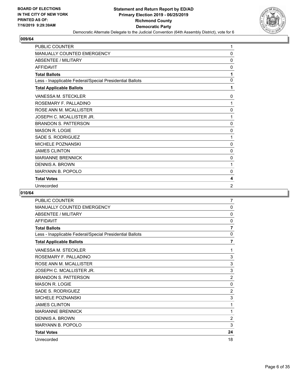

| PUBLIC COUNTER                                           | 1              |
|----------------------------------------------------------|----------------|
| MANUALLY COUNTED EMERGENCY                               | $\Omega$       |
| <b>ABSENTEE / MILITARY</b>                               | $\mathbf{0}$   |
| <b>AFFIDAVIT</b>                                         | 0              |
| <b>Total Ballots</b>                                     | 1              |
| Less - Inapplicable Federal/Special Presidential Ballots | $\mathbf{0}$   |
| <b>Total Applicable Ballots</b>                          | 1              |
| VANESSA M. STECKLER                                      | 0              |
| ROSEMARY F. PALLADINO                                    | 1              |
| ROSE ANN M. MCALLISTER                                   | 0              |
| JOSEPH C. MCALLISTER JR.                                 | 1              |
| <b>BRANDON S. PATTERSON</b>                              | 0              |
| <b>MASON R. LOGIE</b>                                    | 0              |
| <b>SADE S. RODRIGUEZ</b>                                 | 1              |
| <b>MICHELE POZNANSKI</b>                                 | 0              |
| <b>JAMES CLINTON</b>                                     | 0              |
| <b>MARIANNE BRENNICK</b>                                 | 0              |
| <b>DENNIS A. BROWN</b>                                   | 1              |
| <b>MARYANN B. POPOLO</b>                                 | 0              |
| <b>Total Votes</b>                                       | 4              |
| Unrecorded                                               | $\overline{2}$ |

| PUBLIC COUNTER                                           | 7              |
|----------------------------------------------------------|----------------|
| <b>MANUALLY COUNTED EMERGENCY</b>                        | $\mathbf{0}$   |
| <b>ABSENTEE / MILITARY</b>                               | 0              |
| <b>AFFIDAVIT</b>                                         | 0              |
| <b>Total Ballots</b>                                     | $\overline{7}$ |
| Less - Inapplicable Federal/Special Presidential Ballots | $\mathbf{0}$   |
| <b>Total Applicable Ballots</b>                          | 7              |
| VANESSA M. STECKLER                                      | 1              |
| ROSEMARY F. PALLADINO                                    | 3              |
| ROSE ANN M. MCALLISTER                                   | 3              |
| JOSEPH C. MCALLISTER JR.                                 | 3              |
| <b>BRANDON S. PATTERSON</b>                              | $\overline{2}$ |
| <b>MASON R. LOGIE</b>                                    | $\Omega$       |
| SADE S. RODRIGUEZ                                        | $\overline{2}$ |
| <b>MICHELE POZNANSKI</b>                                 | 3              |
| <b>JAMES CLINTON</b>                                     | 1              |
| <b>MARIANNE BRENNICK</b>                                 | 1              |
| <b>DENNIS A. BROWN</b>                                   | $\overline{2}$ |
| <b>MARYANN B. POPOLO</b>                                 | 3              |
| <b>Total Votes</b>                                       | 24             |
| Unrecorded                                               | 18             |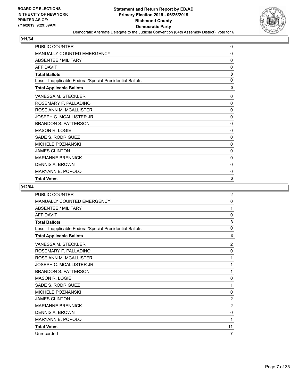

| <b>PUBLIC COUNTER</b>                                    | 0            |
|----------------------------------------------------------|--------------|
| <b>MANUALLY COUNTED EMERGENCY</b>                        | 0            |
| <b>ABSENTEE / MILITARY</b>                               | 0            |
| <b>AFFIDAVIT</b>                                         | 0            |
| <b>Total Ballots</b>                                     | 0            |
| Less - Inapplicable Federal/Special Presidential Ballots | $\mathbf 0$  |
| <b>Total Applicable Ballots</b>                          | $\mathbf{0}$ |
| VANESSA M. STECKLER                                      | $\mathbf{0}$ |
| ROSEMARY F. PALLADINO                                    | 0            |
| ROSE ANN M. MCALLISTER                                   | 0            |
| JOSEPH C. MCALLISTER JR.                                 | 0            |
| <b>BRANDON S. PATTERSON</b>                              | 0            |
| MASON R. LOGIE                                           | 0            |
| SADE S. RODRIGUEZ                                        | $\mathbf 0$  |
| <b>MICHELE POZNANSKI</b>                                 | 0            |
| <b>JAMES CLINTON</b>                                     | 0            |
| <b>MARIANNE BRENNICK</b>                                 | $\mathbf{0}$ |
| DENNIS A. BROWN                                          | 0            |
| <b>MARYANN B. POPOLO</b>                                 | 0            |
| <b>Total Votes</b>                                       | 0            |

| PUBLIC COUNTER                                           | $\overline{c}$ |
|----------------------------------------------------------|----------------|
| MANUALLY COUNTED EMERGENCY                               | $\mathbf{0}$   |
| <b>ABSENTEE / MILITARY</b>                               | 1              |
| <b>AFFIDAVIT</b>                                         | 0              |
| <b>Total Ballots</b>                                     | 3              |
| Less - Inapplicable Federal/Special Presidential Ballots | $\mathbf{0}$   |
| <b>Total Applicable Ballots</b>                          | 3              |
| <b>VANESSA M. STECKLER</b>                               | $\overline{2}$ |
| ROSEMARY F. PALLADINO                                    | 0              |
| ROSE ANN M. MCALLISTER                                   | 1              |
| JOSEPH C. MCALLISTER JR.                                 | 1              |
| <b>BRANDON S. PATTERSON</b>                              | 1              |
| <b>MASON R. LOGIE</b>                                    | 0              |
| SADE S. RODRIGUEZ                                        | 1              |
| MICHELE POZNANSKI                                        | 0              |
| <b>JAMES CLINTON</b>                                     | $\overline{2}$ |
| <b>MARIANNE BRENNICK</b>                                 | $\overline{2}$ |
| <b>DENNIS A. BROWN</b>                                   | 0              |
| <b>MARYANN B. POPOLO</b>                                 | 1              |
| <b>Total Votes</b>                                       | 11             |
| Unrecorded                                               | 7              |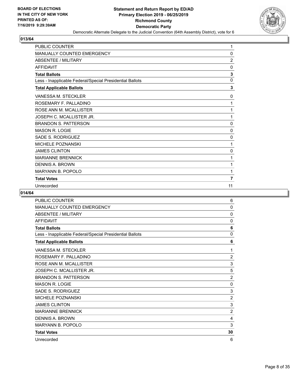

| PUBLIC COUNTER                                           | 1              |
|----------------------------------------------------------|----------------|
| <b>MANUALLY COUNTED EMERGENCY</b>                        | $\mathbf{0}$   |
| <b>ABSENTEE / MILITARY</b>                               | $\overline{2}$ |
| <b>AFFIDAVIT</b>                                         | 0              |
| <b>Total Ballots</b>                                     | 3              |
| Less - Inapplicable Federal/Special Presidential Ballots | 0              |
| <b>Total Applicable Ballots</b>                          | 3              |
| <b>VANESSA M. STECKLER</b>                               | $\Omega$       |
| ROSEMARY F. PALLADINO                                    | 1              |
| ROSE ANN M. MCALLISTER                                   | 1              |
| JOSEPH C. MCALLISTER JR.                                 | 1              |
| <b>BRANDON S. PATTERSON</b>                              | 0              |
| <b>MASON R. LOGIE</b>                                    | $\mathbf{0}$   |
| SADE S. RODRIGUEZ                                        | 0              |
| <b>MICHELE POZNANSKI</b>                                 | 1              |
| <b>JAMES CLINTON</b>                                     | 0              |
| <b>MARIANNE BRENNICK</b>                                 | 1              |
| <b>DENNIS A. BROWN</b>                                   | 1              |
| <b>MARYANN B. POPOLO</b>                                 | 1              |
| <b>Total Votes</b>                                       | $\overline{7}$ |
| Unrecorded                                               | 11             |

| PUBLIC COUNTER                                           | 6              |
|----------------------------------------------------------|----------------|
| <b>MANUALLY COUNTED EMERGENCY</b>                        | $\mathbf{0}$   |
| <b>ABSENTEE / MILITARY</b>                               | 0              |
| <b>AFFIDAVIT</b>                                         | $\mathbf{0}$   |
| <b>Total Ballots</b>                                     | 6              |
| Less - Inapplicable Federal/Special Presidential Ballots | $\mathbf{0}$   |
| <b>Total Applicable Ballots</b>                          | 6              |
| VANESSA M. STECKLER                                      | 1              |
| ROSEMARY F. PALLADINO                                    | $\overline{2}$ |
| ROSE ANN M. MCALLISTER                                   | 3              |
| JOSEPH C. MCALLISTER JR.                                 | 5              |
| <b>BRANDON S. PATTERSON</b>                              | $\overline{2}$ |
| <b>MASON R. LOGIE</b>                                    | 0              |
| SADE S. RODRIGUEZ                                        | 3              |
| <b>MICHELE POZNANSKI</b>                                 | $\overline{2}$ |
| <b>JAMES CLINTON</b>                                     | 3              |
| <b>MARIANNE BRENNICK</b>                                 | $\overline{2}$ |
| <b>DENNIS A. BROWN</b>                                   | 4              |
| <b>MARYANN B. POPOLO</b>                                 | 3              |
| <b>Total Votes</b>                                       | 30             |
| Unrecorded                                               | 6              |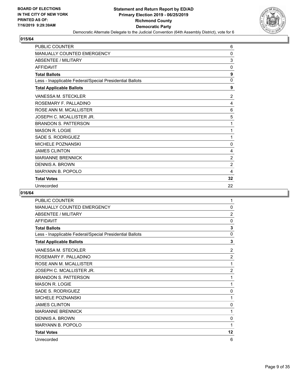

| <b>PUBLIC COUNTER</b>                                    | 6              |
|----------------------------------------------------------|----------------|
| <b>MANUALLY COUNTED EMERGENCY</b>                        | 0              |
| <b>ABSENTEE / MILITARY</b>                               | 3              |
| <b>AFFIDAVIT</b>                                         | 0              |
| <b>Total Ballots</b>                                     | 9              |
| Less - Inapplicable Federal/Special Presidential Ballots | 0              |
| <b>Total Applicable Ballots</b>                          | 9              |
| VANESSA M. STECKLER                                      | $\overline{2}$ |
| ROSEMARY F. PALLADINO                                    | 4              |
| ROSE ANN M. MCALLISTER                                   | 6              |
| JOSEPH C. MCALLISTER JR.                                 | 5              |
| <b>BRANDON S. PATTERSON</b>                              | 1              |
| <b>MASON R. LOGIE</b>                                    | 1              |
| SADE S. RODRIGUEZ                                        | 1              |
| <b>MICHELE POZNANSKI</b>                                 | 0              |
| <b>JAMES CLINTON</b>                                     | 4              |
| <b>MARIANNE BRENNICK</b>                                 | $\overline{2}$ |
| <b>DENNIS A. BROWN</b>                                   | $\overline{2}$ |
| <b>MARYANN B. POPOLO</b>                                 | 4              |
| <b>Total Votes</b>                                       | 32             |
| Unrecorded                                               | 22             |

| PUBLIC COUNTER                                           | 1              |
|----------------------------------------------------------|----------------|
| <b>MANUALLY COUNTED EMERGENCY</b>                        | $\mathbf{0}$   |
| <b>ABSENTEE / MILITARY</b>                               | $\overline{2}$ |
| <b>AFFIDAVIT</b>                                         | $\mathbf{0}$   |
| <b>Total Ballots</b>                                     | 3              |
| Less - Inapplicable Federal/Special Presidential Ballots | $\mathbf{0}$   |
| <b>Total Applicable Ballots</b>                          | 3              |
| VANESSA M. STECKLER                                      | 2              |
| ROSEMARY F. PALLADINO                                    | $\overline{2}$ |
| ROSE ANN M. MCALLISTER                                   | 1              |
| JOSEPH C. MCALLISTER JR.                                 | $\overline{2}$ |
| <b>BRANDON S. PATTERSON</b>                              | 1              |
| <b>MASON R. LOGIE</b>                                    | 1              |
| SADE S. RODRIGUEZ                                        | $\mathbf{0}$   |
| <b>MICHELE POZNANSKI</b>                                 | 1              |
| <b>JAMES CLINTON</b>                                     | $\mathbf{0}$   |
| <b>MARIANNE BRENNICK</b>                                 | 1              |
| <b>DENNIS A. BROWN</b>                                   | $\mathbf{0}$   |
| <b>MARYANN B. POPOLO</b>                                 | 1              |
| <b>Total Votes</b>                                       | 12             |
| Unrecorded                                               | 6              |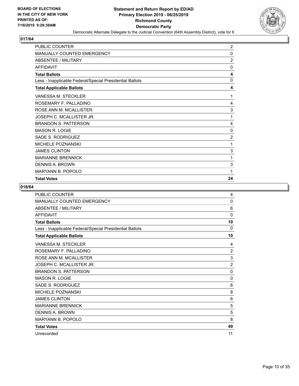

| <b>PUBLIC COUNTER</b>                                    | $\overline{2}$ |
|----------------------------------------------------------|----------------|
| <b>MANUALLY COUNTED EMERGENCY</b>                        | 0              |
| <b>ABSENTEE / MILITARY</b>                               | $\overline{2}$ |
| <b>AFFIDAVIT</b>                                         | $\mathbf{0}$   |
| <b>Total Ballots</b>                                     | 4              |
| Less - Inapplicable Federal/Special Presidential Ballots | $\mathbf{0}$   |
| <b>Total Applicable Ballots</b>                          | 4              |
| VANESSA M. STECKLER                                      | 1              |
| ROSEMARY F. PALLADINO                                    | 4              |
| ROSE ANN M. MCALLISTER                                   | 3              |
| JOSEPH C. MCALLISTER JR.                                 | 1              |
| <b>BRANDON S. PATTERSON</b>                              | 4              |
| MASON R. LOGIE                                           | 0              |
| SADE S. RODRIGUEZ                                        | $\overline{2}$ |
| <b>MICHELE POZNANSKI</b>                                 | 1              |
| <b>JAMES CLINTON</b>                                     | 3              |
| <b>MARIANNE BRENNICK</b>                                 | 1              |
| DENNIS A. BROWN                                          | 3              |
| <b>MARYANN B. POPOLO</b>                                 | 1              |
| <b>Total Votes</b>                                       | 24             |

| <b>PUBLIC COUNTER</b>                                    | 4              |
|----------------------------------------------------------|----------------|
| MANUALLY COUNTED EMERGENCY                               | $\Omega$       |
| <b>ABSENTEE / MILITARY</b>                               | 6              |
| <b>AFFIDAVIT</b>                                         | 0              |
| <b>Total Ballots</b>                                     | 10             |
| Less - Inapplicable Federal/Special Presidential Ballots | $\Omega$       |
| <b>Total Applicable Ballots</b>                          | 10             |
| VANESSA M. STECKLER                                      | 4              |
| ROSEMARY F. PALLADINO                                    | 2              |
| ROSE ANN M. MCALLISTER                                   | 3              |
| JOSEPH C. MCALLISTER JR.                                 | $\overline{c}$ |
| <b>BRANDON S. PATTERSON</b>                              | 0              |
| <b>MASON R. LOGIE</b>                                    | 0              |
| SADE S. RODRIGUEZ                                        | 6              |
| <b>MICHELE POZNANSKI</b>                                 | 8              |
| <b>JAMES CLINTON</b>                                     | 6              |
| <b>MARIANNE BRENNICK</b>                                 | 5              |
| <b>DENNIS A. BROWN</b>                                   | 5              |
| <b>MARYANN B. POPOLO</b>                                 | 8              |
| <b>Total Votes</b>                                       | 49             |
| Unrecorded                                               | 11             |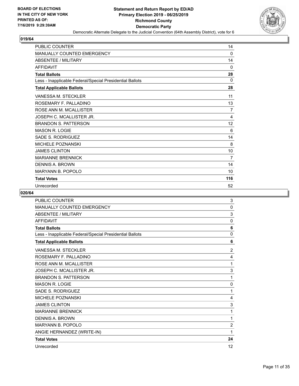

| <b>PUBLIC COUNTER</b>                                    | 14             |
|----------------------------------------------------------|----------------|
| MANUALLY COUNTED EMERGENCY                               | 0              |
| <b>ABSENTEE / MILITARY</b>                               | 14             |
| <b>AFFIDAVIT</b>                                         | 0              |
| <b>Total Ballots</b>                                     | 28             |
| Less - Inapplicable Federal/Special Presidential Ballots | 0              |
| <b>Total Applicable Ballots</b>                          | 28             |
| <b>VANESSA M. STECKLER</b>                               | 11             |
| ROSEMARY F. PALLADINO                                    | 13             |
| ROSE ANN M. MCALLISTER                                   | $\overline{7}$ |
| JOSEPH C. MCALLISTER JR.                                 | 4              |
| <b>BRANDON S. PATTERSON</b>                              | 12             |
| <b>MASON R. LOGIE</b>                                    | 6              |
| SADE S. RODRIGUEZ                                        | 14             |
| <b>MICHELE POZNANSKI</b>                                 | 8              |
| <b>JAMES CLINTON</b>                                     | 10             |
| <b>MARIANNE BRENNICK</b>                                 | $\overline{7}$ |
| DENNIS A. BROWN                                          | 14             |
| MARYANN B. POPOLO                                        | 10             |
| <b>Total Votes</b>                                       | 116            |
| Unrecorded                                               | 52             |

| <b>PUBLIC COUNTER</b>                                    | 3              |
|----------------------------------------------------------|----------------|
| <b>MANUALLY COUNTED EMERGENCY</b>                        | $\mathbf{0}$   |
| <b>ABSENTEE / MILITARY</b>                               | 3              |
| <b>AFFIDAVIT</b>                                         | 0              |
| <b>Total Ballots</b>                                     | 6              |
| Less - Inapplicable Federal/Special Presidential Ballots | $\mathbf{0}$   |
| <b>Total Applicable Ballots</b>                          | 6              |
| <b>VANESSA M. STECKLER</b>                               | $\overline{2}$ |
| ROSEMARY F. PALLADINO                                    | 4              |
| ROSE ANN M. MCALLISTER                                   | 1              |
| JOSEPH C. MCALLISTER JR.                                 | 3              |
| <b>BRANDON S. PATTERSON</b>                              | 1              |
| <b>MASON R. LOGIE</b>                                    | 0              |
| <b>SADE S. RODRIGUEZ</b>                                 | 1              |
| MICHELE POZNANSKI                                        | 4              |
| <b>JAMES CLINTON</b>                                     | 3              |
| <b>MARIANNE BRENNICK</b>                                 | 1              |
| <b>DENNIS A. BROWN</b>                                   | 1              |
| <b>MARYANN B. POPOLO</b>                                 | $\overline{2}$ |
| ANGIE HERNANDEZ (WRITE-IN)                               | 1              |
| <b>Total Votes</b>                                       | 24             |
| Unrecorded                                               | 12             |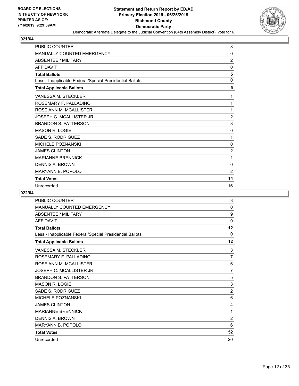

| <b>PUBLIC COUNTER</b>                                    | 3              |
|----------------------------------------------------------|----------------|
| MANUALLY COUNTED EMERGENCY                               | 0              |
| <b>ABSENTEE / MILITARY</b>                               | $\overline{2}$ |
| <b>AFFIDAVIT</b>                                         | 0              |
| <b>Total Ballots</b>                                     | 5              |
| Less - Inapplicable Federal/Special Presidential Ballots | $\mathbf{0}$   |
| <b>Total Applicable Ballots</b>                          | 5              |
| <b>VANESSA M. STECKLER</b>                               | 1              |
| ROSEMARY F. PALLADINO                                    | 1              |
| ROSE ANN M. MCALLISTER                                   | 1              |
| JOSEPH C. MCALLISTER JR.                                 | $\overline{2}$ |
| <b>BRANDON S. PATTERSON</b>                              | 3              |
| <b>MASON R. LOGIE</b>                                    | 0              |
| SADE S. RODRIGUEZ                                        | 1              |
| <b>MICHELE POZNANSKI</b>                                 | 0              |
| <b>JAMES CLINTON</b>                                     | $\overline{c}$ |
| <b>MARIANNE BRENNICK</b>                                 | 1              |
| DENNIS A. BROWN                                          | 0              |
| MARYANN B. POPOLO                                        | 2              |
| <b>Total Votes</b>                                       | 14             |
| Unrecorded                                               | 16             |

| PUBLIC COUNTER                                           | 3              |
|----------------------------------------------------------|----------------|
| <b>MANUALLY COUNTED EMERGENCY</b>                        | $\mathbf{0}$   |
| <b>ABSENTEE / MILITARY</b>                               | 9              |
| <b>AFFIDAVIT</b>                                         | $\mathbf{0}$   |
| <b>Total Ballots</b>                                     | 12             |
| Less - Inapplicable Federal/Special Presidential Ballots | 0              |
| <b>Total Applicable Ballots</b>                          | 12             |
| VANESSA M. STECKLER                                      | 3              |
| ROSEMARY F. PALLADINO                                    | 7              |
| ROSE ANN M. MCALLISTER                                   | 6              |
| JOSEPH C. MCALLISTER JR.                                 | $\overline{7}$ |
| <b>BRANDON S. PATTERSON</b>                              | 5              |
| <b>MASON R. LOGIE</b>                                    | 3              |
| SADE S. RODRIGUEZ                                        | $\overline{2}$ |
| <b>MICHELE POZNANSKI</b>                                 | 6              |
| <b>JAMES CLINTON</b>                                     | 4              |
| <b>MARIANNE BRENNICK</b>                                 | 1              |
| <b>DENNIS A. BROWN</b>                                   | $\overline{2}$ |
| <b>MARYANN B. POPOLO</b>                                 | 6              |
| <b>Total Votes</b>                                       | 52             |
| Unrecorded                                               | 20             |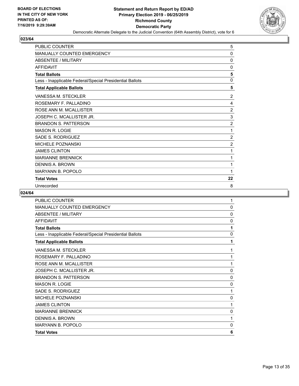

| <b>PUBLIC COUNTER</b>                                    | 5              |
|----------------------------------------------------------|----------------|
| <b>MANUALLY COUNTED EMERGENCY</b>                        | 0              |
| <b>ABSENTEE / MILITARY</b>                               | 0              |
| <b>AFFIDAVIT</b>                                         | 0              |
| <b>Total Ballots</b>                                     | 5              |
| Less - Inapplicable Federal/Special Presidential Ballots | 0              |
| <b>Total Applicable Ballots</b>                          | 5              |
| VANESSA M. STECKLER                                      | $\overline{2}$ |
| ROSEMARY F. PALLADINO                                    | 4              |
| ROSE ANN M. MCALLISTER                                   | $\overline{2}$ |
| JOSEPH C. MCALLISTER JR.                                 | 3              |
| <b>BRANDON S. PATTERSON</b>                              | $\overline{2}$ |
| <b>MASON R. LOGIE</b>                                    | 1              |
| SADE S. RODRIGUEZ                                        | $\overline{c}$ |
| MICHELE POZNANSKI                                        | $\overline{c}$ |
| <b>JAMES CLINTON</b>                                     | 1              |
| <b>MARIANNE BRENNICK</b>                                 | 1              |
| <b>DENNIS A. BROWN</b>                                   | 1              |
| <b>MARYANN B. POPOLO</b>                                 | 1              |
| <b>Total Votes</b>                                       | 22             |
| Unrecorded                                               | 8              |

| PUBLIC COUNTER                                           | $\mathbf{1}$ |
|----------------------------------------------------------|--------------|
| MANUALLY COUNTED EMERGENCY                               | $\mathbf 0$  |
| <b>ABSENTEE / MILITARY</b>                               | $\mathbf{0}$ |
| <b>AFFIDAVIT</b>                                         | 0            |
| <b>Total Ballots</b>                                     | 1            |
| Less - Inapplicable Federal/Special Presidential Ballots | $\mathbf 0$  |
| <b>Total Applicable Ballots</b>                          | 1            |
| VANESSA M. STECKLER                                      | 1            |
| ROSEMARY F. PALLADINO                                    | 1            |
| ROSE ANN M. MCALLISTER                                   | 1            |
| JOSEPH C. MCALLISTER JR.                                 | $\mathbf{0}$ |
| <b>BRANDON S. PATTERSON</b>                              | 0            |
| <b>MASON R. LOGIE</b>                                    | 0            |
| SADE S. RODRIGUEZ                                        | 1            |
| MICHELE POZNANSKI                                        | $\mathbf 0$  |
| <b>JAMES CLINTON</b>                                     | 1            |
| <b>MARIANNE BRENNICK</b>                                 | 0            |
| <b>DENNIS A. BROWN</b>                                   | 1            |
| MARYANN B. POPOLO                                        | 0            |
| <b>Total Votes</b>                                       | 6            |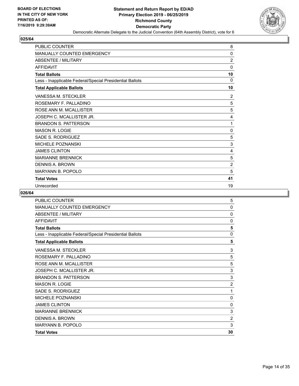

| <b>PUBLIC COUNTER</b>                                    | 8              |
|----------------------------------------------------------|----------------|
| <b>MANUALLY COUNTED EMERGENCY</b>                        | 0              |
| <b>ABSENTEE / MILITARY</b>                               | $\overline{2}$ |
| <b>AFFIDAVIT</b>                                         | 0              |
| <b>Total Ballots</b>                                     | 10             |
| Less - Inapplicable Federal/Special Presidential Ballots | $\Omega$       |
| <b>Total Applicable Ballots</b>                          | 10             |
| VANESSA M. STECKLER                                      | $\overline{2}$ |
| ROSEMARY F. PALLADINO                                    | 5              |
| ROSE ANN M. MCALLISTER                                   | 5              |
| JOSEPH C. MCALLISTER JR.                                 | 4              |
| <b>BRANDON S. PATTERSON</b>                              | 1              |
| <b>MASON R. LOGIE</b>                                    | 0              |
| SADE S. RODRIGUEZ                                        | 5              |
| <b>MICHELE POZNANSKI</b>                                 | 3              |
| <b>JAMES CLINTON</b>                                     | 4              |
| <b>MARIANNE BRENNICK</b>                                 | 5              |
| <b>DENNIS A. BROWN</b>                                   | $\overline{2}$ |
| <b>MARYANN B. POPOLO</b>                                 | 5              |
| <b>Total Votes</b>                                       | 41             |
| Unrecorded                                               | 19             |

| <b>PUBLIC COUNTER</b>                                    | 5              |
|----------------------------------------------------------|----------------|
| <b>MANUALLY COUNTED EMERGENCY</b>                        | 0              |
| <b>ABSENTEE / MILITARY</b>                               | 0              |
| <b>AFFIDAVIT</b>                                         | $\mathbf{0}$   |
| <b>Total Ballots</b>                                     | 5              |
| Less - Inapplicable Federal/Special Presidential Ballots | 0              |
| <b>Total Applicable Ballots</b>                          | 5              |
| VANESSA M. STECKLER                                      | 3              |
| ROSEMARY F. PALLADINO                                    | 5              |
| ROSE ANN M. MCALLISTER                                   | 5              |
| JOSEPH C. MCALLISTER JR.                                 | 3              |
| <b>BRANDON S. PATTERSON</b>                              | 3              |
| <b>MASON R. LOGIE</b>                                    | $\overline{2}$ |
| SADE S. RODRIGUEZ                                        | 1              |
| <b>MICHELE POZNANSKI</b>                                 | 0              |
| <b>JAMES CLINTON</b>                                     | $\mathbf{0}$   |
| <b>MARIANNE BRENNICK</b>                                 | 3              |
| DENNIS A. BROWN                                          | $\overline{2}$ |
| <b>MARYANN B. POPOLO</b>                                 | 3              |
| <b>Total Votes</b>                                       | 30             |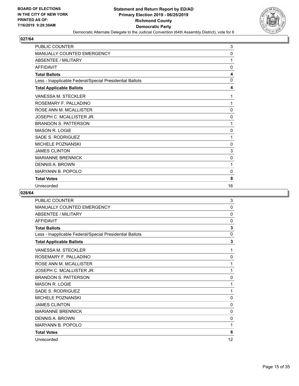

| PUBLIC COUNTER                                           | 3            |
|----------------------------------------------------------|--------------|
| <b>MANUALLY COUNTED EMERGENCY</b>                        | $\mathbf{0}$ |
| <b>ABSENTEE / MILITARY</b>                               | 1            |
| <b>AFFIDAVIT</b>                                         | 0            |
| <b>Total Ballots</b>                                     | 4            |
| Less - Inapplicable Federal/Special Presidential Ballots | $\mathbf{0}$ |
| <b>Total Applicable Ballots</b>                          | 4            |
| <b>VANESSA M. STECKLER</b>                               | 1            |
| ROSEMARY F. PALLADINO                                    | 1            |
| ROSE ANN M. MCALLISTER                                   | 0            |
| JOSEPH C. MCALLISTER JR.                                 | 0            |
| <b>BRANDON S. PATTERSON</b>                              | 1            |
| <b>MASON R. LOGIE</b>                                    | $\mathbf{0}$ |
| SADE S. RODRIGUEZ                                        | 1            |
| <b>MICHELE POZNANSKI</b>                                 | 0            |
| <b>JAMES CLINTON</b>                                     | 3            |
| <b>MARIANNE BRENNICK</b>                                 | $\mathbf 0$  |
| DENNIS A. BROWN                                          | 1            |
| <b>MARYANN B. POPOLO</b>                                 | 0            |
| <b>Total Votes</b>                                       | 8            |
| Unrecorded                                               | 16           |

| <b>PUBLIC COUNTER</b>                                    | 3            |
|----------------------------------------------------------|--------------|
| <b>MANUALLY COUNTED EMERGENCY</b>                        | $\mathbf{0}$ |
| <b>ABSENTEE / MILITARY</b>                               | 0            |
| <b>AFFIDAVIT</b>                                         | 0            |
| <b>Total Ballots</b>                                     | 3            |
| Less - Inapplicable Federal/Special Presidential Ballots | $\mathbf{0}$ |
| <b>Total Applicable Ballots</b>                          | 3            |
| VANESSA M. STECKLER                                      | 1            |
| ROSEMARY F. PALLADINO                                    | 0            |
| ROSE ANN M. MCALLISTER                                   | 1            |
| JOSEPH C. MCALLISTER JR.                                 | 1            |
| <b>BRANDON S. PATTERSON</b>                              | 0            |
| <b>MASON R. LOGIE</b>                                    | 1            |
| SADE S. RODRIGUEZ                                        | 1            |
| <b>MICHELE POZNANSKI</b>                                 | 0            |
| <b>JAMES CLINTON</b>                                     | 0            |
| <b>MARIANNE BRENNICK</b>                                 | 0            |
| <b>DENNIS A. BROWN</b>                                   | 0            |
| <b>MARYANN B. POPOLO</b>                                 | 1            |
| <b>Total Votes</b>                                       | 6            |
| Unrecorded                                               | 12           |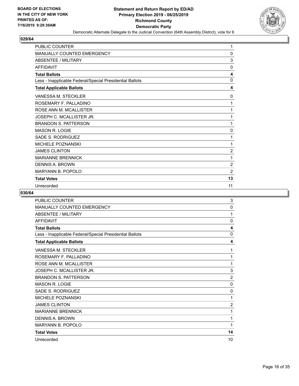

| PUBLIC COUNTER                                           | 1              |
|----------------------------------------------------------|----------------|
| <b>MANUALLY COUNTED EMERGENCY</b>                        | $\Omega$       |
| <b>ABSENTEE / MILITARY</b>                               | 3              |
| <b>AFFIDAVIT</b>                                         | 0              |
| <b>Total Ballots</b>                                     | 4              |
| Less - Inapplicable Federal/Special Presidential Ballots | $\Omega$       |
| <b>Total Applicable Ballots</b>                          | 4              |
| <b>VANESSA M. STECKLER</b>                               | 0              |
| ROSEMARY F. PALLADINO                                    | 1              |
| ROSE ANN M. MCALLISTER                                   | 1              |
| JOSEPH C. MCALLISTER JR.                                 | 1              |
| <b>BRANDON S. PATTERSON</b>                              | 1              |
| <b>MASON R. LOGIE</b>                                    | $\Omega$       |
| SADE S. RODRIGUEZ                                        | 1              |
| <b>MICHELE POZNANSKI</b>                                 | 1              |
| <b>JAMES CLINTON</b>                                     | $\overline{c}$ |
| <b>MARIANNE BRENNICK</b>                                 | 1              |
| DENNIS A. BROWN                                          | 2              |
| <b>MARYANN B. POPOLO</b>                                 | $\overline{2}$ |
| <b>Total Votes</b>                                       | 13             |
| Unrecorded                                               | 11             |

| <b>PUBLIC COUNTER</b>                                    | 3              |
|----------------------------------------------------------|----------------|
| <b>MANUALLY COUNTED EMERGENCY</b>                        | 0              |
| <b>ABSENTEE / MILITARY</b>                               | 1              |
| <b>AFFIDAVIT</b>                                         | $\mathbf{0}$   |
| <b>Total Ballots</b>                                     | 4              |
| Less - Inapplicable Federal/Special Presidential Ballots | $\mathbf{0}$   |
| <b>Total Applicable Ballots</b>                          | 4              |
| VANESSA M. STECKLER                                      | 1              |
| ROSEMARY F. PALLADINO                                    | 1              |
| ROSE ANN M. MCALLISTER                                   | 1              |
| JOSEPH C. MCALLISTER JR.                                 | 3              |
| <b>BRANDON S. PATTERSON</b>                              | $\overline{2}$ |
| <b>MASON R. LOGIE</b>                                    | 0              |
| SADE S. RODRIGUEZ                                        | $\mathbf{0}$   |
| <b>MICHELE POZNANSKI</b>                                 | 1              |
| <b>JAMES CLINTON</b>                                     | $\overline{2}$ |
| <b>MARIANNE BRENNICK</b>                                 | 1              |
| <b>DENNIS A. BROWN</b>                                   | 1              |
| <b>MARYANN B. POPOLO</b>                                 | 1              |
| <b>Total Votes</b>                                       | 14             |
| Unrecorded                                               | 10             |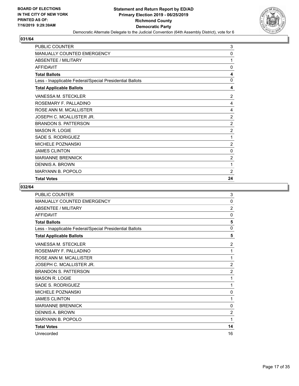

| PUBLIC COUNTER                                           | 3              |
|----------------------------------------------------------|----------------|
| <b>MANUALLY COUNTED EMERGENCY</b>                        | 0              |
| ABSENTEE / MILITARY                                      | 1              |
| <b>AFFIDAVIT</b>                                         | $\Omega$       |
| <b>Total Ballots</b>                                     | 4              |
| Less - Inapplicable Federal/Special Presidential Ballots | 0              |
| <b>Total Applicable Ballots</b>                          | 4              |
| VANESSA M. STECKLER                                      | $\overline{2}$ |
| ROSEMARY F. PALLADINO                                    | 4              |
| ROSE ANN M. MCALLISTER                                   | 4              |
| JOSEPH C. MCALLISTER JR.                                 | $\overline{2}$ |
| <b>BRANDON S. PATTERSON</b>                              | $\overline{c}$ |
| <b>MASON R. LOGIE</b>                                    | $\overline{2}$ |
| SADE S. RODRIGUEZ                                        | 1              |
| <b>MICHELE POZNANSKI</b>                                 | $\overline{2}$ |
| <b>JAMES CLINTON</b>                                     | 0              |
| <b>MARIANNE BRENNICK</b>                                 | $\overline{2}$ |
| DENNIS A. BROWN                                          | 1              |
| <b>MARYANN B. POPOLO</b>                                 | $\overline{2}$ |
| <b>Total Votes</b>                                       | 24             |

| <b>PUBLIC COUNTER</b>                                    | 3              |
|----------------------------------------------------------|----------------|
| MANUALLY COUNTED EMERGENCY                               | 0              |
| <b>ABSENTEE / MILITARY</b>                               | $\overline{2}$ |
| <b>AFFIDAVIT</b>                                         | 0              |
| <b>Total Ballots</b>                                     | 5              |
| Less - Inapplicable Federal/Special Presidential Ballots | 0              |
| <b>Total Applicable Ballots</b>                          | 5              |
| VANESSA M. STECKLER                                      | $\overline{2}$ |
| ROSEMARY F. PALLADINO                                    | 1              |
| ROSE ANN M. MCALLISTER                                   | 1              |
| JOSEPH C. MCALLISTER JR.                                 | $\overline{2}$ |
| <b>BRANDON S. PATTERSON</b>                              | $\overline{2}$ |
| <b>MASON R. LOGIE</b>                                    | 1              |
| SADE S. RODRIGUEZ                                        | 1              |
| <b>MICHELE POZNANSKI</b>                                 | 0              |
| <b>JAMES CLINTON</b>                                     | 1              |
| <b>MARIANNE BRENNICK</b>                                 | $\Omega$       |
| <b>DENNIS A. BROWN</b>                                   | $\overline{2}$ |
| <b>MARYANN B. POPOLO</b>                                 | 1              |
| <b>Total Votes</b>                                       | 14             |
| Unrecorded                                               | 16             |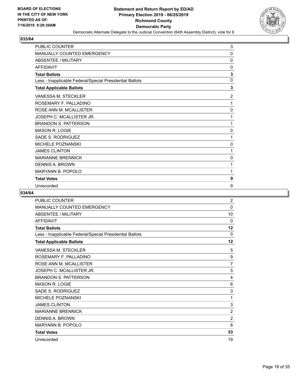

| PUBLIC COUNTER                                           | 3              |
|----------------------------------------------------------|----------------|
| MANUALLY COUNTED EMERGENCY                               | $\Omega$       |
| <b>ABSENTEE / MILITARY</b>                               | $\mathbf{0}$   |
| <b>AFFIDAVIT</b>                                         | $\mathbf{0}$   |
| <b>Total Ballots</b>                                     | 3              |
| Less - Inapplicable Federal/Special Presidential Ballots | $\mathbf{0}$   |
| <b>Total Applicable Ballots</b>                          | 3              |
| VANESSA M. STECKLER                                      | $\overline{2}$ |
| ROSEMARY F. PALLADINO                                    | 1              |
| ROSE ANN M. MCALLISTER                                   | 0              |
| JOSEPH C. MCALLISTER JR.                                 | 1              |
| <b>BRANDON S. PATTERSON</b>                              | 1              |
| <b>MASON R. LOGIE</b>                                    | 0              |
| <b>SADE S. RODRIGUEZ</b>                                 | 1              |
| <b>MICHELE POZNANSKI</b>                                 | 0              |
| <b>JAMES CLINTON</b>                                     | 1              |
| <b>MARIANNE BRENNICK</b>                                 | 0              |
| <b>DENNIS A. BROWN</b>                                   | 1              |
| <b>MARYANN B. POPOLO</b>                                 | 1              |
| <b>Total Votes</b>                                       | 9              |
| Unrecorded                                               | 9              |

| PUBLIC COUNTER                                           | 2              |
|----------------------------------------------------------|----------------|
| <b>MANUALLY COUNTED EMERGENCY</b>                        | $\mathbf{0}$   |
| <b>ABSENTEE / MILITARY</b>                               | 10             |
| <b>AFFIDAVIT</b>                                         | $\Omega$       |
| <b>Total Ballots</b>                                     | 12             |
| Less - Inapplicable Federal/Special Presidential Ballots | $\Omega$       |
| <b>Total Applicable Ballots</b>                          | 12             |
| VANESSA M. STECKLER                                      | 5              |
| ROSEMARY F. PALLADINO                                    | 9              |
| ROSE ANN M. MCALLISTER                                   | $\overline{7}$ |
| JOSEPH C. MCALLISTER JR.                                 | 5              |
| <b>BRANDON S. PATTERSON</b>                              | 4              |
| <b>MASON R. LOGIE</b>                                    | 6              |
| SADE S. RODRIGUEZ                                        | 3              |
| <b>MICHELE POZNANSKI</b>                                 | 1              |
| <b>JAMES CLINTON</b>                                     | 3              |
| <b>MARIANNE BRENNICK</b>                                 | 2              |
| <b>DENNIS A. BROWN</b>                                   | $\overline{2}$ |
| <b>MARYANN B. POPOLO</b>                                 | 6              |
| <b>Total Votes</b>                                       | 53             |
| Unrecorded                                               | 19             |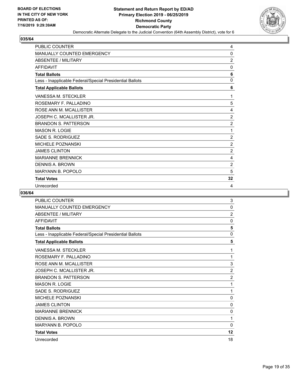

| PUBLIC COUNTER                                           | 4              |
|----------------------------------------------------------|----------------|
| <b>MANUALLY COUNTED EMERGENCY</b>                        | $\mathbf{0}$   |
| <b>ABSENTEE / MILITARY</b>                               | $\overline{2}$ |
| <b>AFFIDAVIT</b>                                         | 0              |
| <b>Total Ballots</b>                                     | 6              |
| Less - Inapplicable Federal/Special Presidential Ballots | $\mathbf{0}$   |
| <b>Total Applicable Ballots</b>                          | 6              |
| <b>VANESSA M. STECKLER</b>                               | 1              |
| ROSEMARY F. PALLADINO                                    | 5              |
| ROSE ANN M. MCALLISTER                                   | 4              |
| JOSEPH C. MCALLISTER JR.                                 | $\overline{2}$ |
| <b>BRANDON S. PATTERSON</b>                              | $\overline{2}$ |
| <b>MASON R. LOGIE</b>                                    | 1              |
| SADE S. RODRIGUEZ                                        | 2              |
| <b>MICHELE POZNANSKI</b>                                 | $\overline{2}$ |
| <b>JAMES CLINTON</b>                                     | $\overline{c}$ |
| <b>MARIANNE BRENNICK</b>                                 | 4              |
| DENNIS A. BROWN                                          | 2              |
| <b>MARYANN B. POPOLO</b>                                 | 5              |
| <b>Total Votes</b>                                       | 32             |
| Unrecorded                                               | 4              |

| PUBLIC COUNTER                                           | 3              |
|----------------------------------------------------------|----------------|
| MANUALLY COUNTED EMERGENCY                               | $\mathbf{0}$   |
| <b>ABSENTEE / MILITARY</b>                               | $\overline{2}$ |
| <b>AFFIDAVIT</b>                                         | 0              |
| <b>Total Ballots</b>                                     | 5              |
| Less - Inapplicable Federal/Special Presidential Ballots | $\mathbf{0}$   |
| <b>Total Applicable Ballots</b>                          | 5              |
| VANESSA M. STECKLER                                      | 1              |
| ROSEMARY F. PALLADINO                                    | 1              |
| ROSE ANN M. MCALLISTER                                   | 3              |
| JOSEPH C. MCALLISTER JR.                                 | $\overline{2}$ |
| <b>BRANDON S. PATTERSON</b>                              | $\overline{2}$ |
| <b>MASON R. LOGIE</b>                                    | 1              |
| SADE S. RODRIGUEZ                                        | 1              |
| MICHELE POZNANSKI                                        | 0              |
| <b>JAMES CLINTON</b>                                     | $\mathbf{0}$   |
| <b>MARIANNE BRENNICK</b>                                 | 0              |
| <b>DENNIS A. BROWN</b>                                   | 1              |
| <b>MARYANN B. POPOLO</b>                                 | $\mathbf{0}$   |
| <b>Total Votes</b>                                       | 12             |
| Unrecorded                                               | 18             |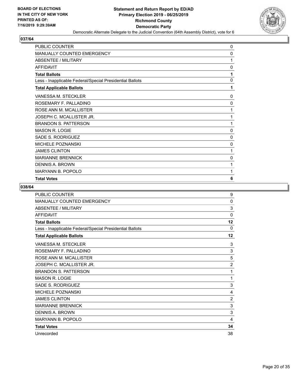

| PUBLIC COUNTER                                           | 0        |
|----------------------------------------------------------|----------|
| <b>MANUALLY COUNTED EMERGENCY</b>                        | 0        |
| <b>ABSENTEE / MILITARY</b>                               | 1        |
| <b>AFFIDAVIT</b>                                         | 0        |
| <b>Total Ballots</b>                                     | 1        |
| Less - Inapplicable Federal/Special Presidential Ballots | 0        |
| <b>Total Applicable Ballots</b>                          | 1        |
| VANESSA M. STECKLER                                      | 0        |
| ROSEMARY F. PALLADINO                                    | 0        |
| ROSE ANN M. MCALLISTER                                   | 1        |
| JOSEPH C. MCALLISTER JR.                                 | 1        |
| <b>BRANDON S. PATTERSON</b>                              | 1        |
| <b>MASON R. LOGIE</b>                                    | 0        |
| SADE S. RODRIGUEZ                                        | $\Omega$ |
| <b>MICHELE POZNANSKI</b>                                 | 0        |
| <b>JAMES CLINTON</b>                                     | 1        |
| <b>MARIANNE BRENNICK</b>                                 | 0        |
| DENNIS A. BROWN                                          | 1        |
| <b>MARYANN B. POPOLO</b>                                 | 1        |
| <b>Total Votes</b>                                       | 6        |

| <b>PUBLIC COUNTER</b>                                    | 9              |
|----------------------------------------------------------|----------------|
| MANUALLY COUNTED EMERGENCY                               | 0              |
| <b>ABSENTEE / MILITARY</b>                               | 3              |
| <b>AFFIDAVIT</b>                                         | 0              |
| <b>Total Ballots</b>                                     | 12             |
| Less - Inapplicable Federal/Special Presidential Ballots | $\Omega$       |
| <b>Total Applicable Ballots</b>                          | 12             |
| <b>VANESSA M. STECKLER</b>                               | 3              |
| ROSEMARY F. PALLADINO                                    | 3              |
| ROSE ANN M. MCALLISTER                                   | 5              |
| JOSEPH C. MCALLISTER JR.                                 | $\overline{2}$ |
| <b>BRANDON S. PATTERSON</b>                              | 1              |
| <b>MASON R. LOGIE</b>                                    | 1              |
| SADE S. RODRIGUEZ                                        | 3              |
| <b>MICHELE POZNANSKI</b>                                 | 4              |
| <b>JAMES CLINTON</b>                                     | $\overline{2}$ |
| <b>MARIANNE BRENNICK</b>                                 | 3              |
| <b>DENNIS A. BROWN</b>                                   | 3              |
| MARYANN B. POPOLO                                        | 4              |
| <b>Total Votes</b>                                       | 34             |
| Unrecorded                                               | 38             |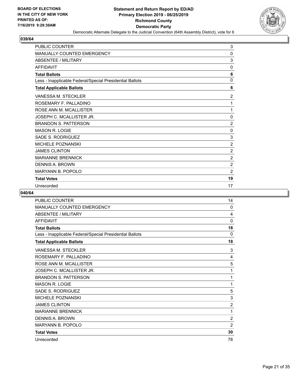

| <b>PUBLIC COUNTER</b>                                    | 3              |
|----------------------------------------------------------|----------------|
| <b>MANUALLY COUNTED EMERGENCY</b>                        | 0              |
| <b>ABSENTEE / MILITARY</b>                               | 3              |
| <b>AFFIDAVIT</b>                                         | 0              |
| <b>Total Ballots</b>                                     | 6              |
| Less - Inapplicable Federal/Special Presidential Ballots | 0              |
| <b>Total Applicable Ballots</b>                          | 6              |
| VANESSA M. STECKLER                                      | $\overline{2}$ |
| ROSEMARY F. PALLADINO                                    | 1              |
| ROSE ANN M. MCALLISTER                                   | 1              |
| JOSEPH C. MCALLISTER JR.                                 | $\mathbf 0$    |
| <b>BRANDON S. PATTERSON</b>                              | $\overline{2}$ |
| <b>MASON R. LOGIE</b>                                    | 0              |
| SADE S. RODRIGUEZ                                        | 3              |
| MICHELE POZNANSKI                                        | $\overline{2}$ |
| <b>JAMES CLINTON</b>                                     | $\overline{2}$ |
| <b>MARIANNE BRENNICK</b>                                 | $\overline{2}$ |
| <b>DENNIS A. BROWN</b>                                   | 2              |
| <b>MARYANN B. POPOLO</b>                                 | $\overline{2}$ |
| <b>Total Votes</b>                                       | 19             |
| Unrecorded                                               | 17             |

| <b>PUBLIC COUNTER</b>                                    | 14             |
|----------------------------------------------------------|----------------|
| <b>MANUALLY COUNTED EMERGENCY</b>                        | $\mathbf{0}$   |
| <b>ABSENTEE / MILITARY</b>                               | 4              |
| <b>AFFIDAVIT</b>                                         | 0              |
| <b>Total Ballots</b>                                     | 18             |
| Less - Inapplicable Federal/Special Presidential Ballots | $\Omega$       |
| <b>Total Applicable Ballots</b>                          | 18             |
| VANESSA M. STECKLER                                      | 3              |
| ROSEMARY F. PALLADINO                                    | 4              |
| ROSE ANN M. MCALLISTER                                   | 5              |
| JOSEPH C. MCALLISTER JR.                                 | 1              |
| <b>BRANDON S. PATTERSON</b>                              | 1              |
| <b>MASON R. LOGIE</b>                                    | 1              |
| SADE S. RODRIGUEZ                                        | 5              |
| MICHELE POZNANSKI                                        | 3              |
| <b>JAMES CLINTON</b>                                     | $\overline{2}$ |
| <b>MARIANNE BRENNICK</b>                                 | 1              |
| <b>DENNIS A. BROWN</b>                                   | $\overline{2}$ |
| <b>MARYANN B. POPOLO</b>                                 | $\overline{2}$ |
| <b>Total Votes</b>                                       | 30             |
| Unrecorded                                               | 78             |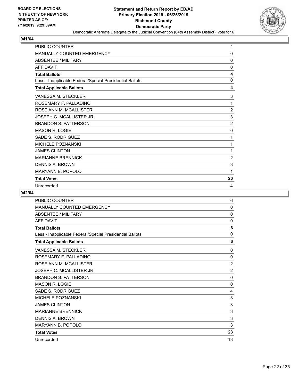

| PUBLIC COUNTER                                           | 4              |
|----------------------------------------------------------|----------------|
| MANUALLY COUNTED EMERGENCY                               | $\Omega$       |
| <b>ABSENTEE / MILITARY</b>                               | $\mathbf{0}$   |
| <b>AFFIDAVIT</b>                                         | $\Omega$       |
| <b>Total Ballots</b>                                     | 4              |
| Less - Inapplicable Federal/Special Presidential Ballots | $\mathbf{0}$   |
| <b>Total Applicable Ballots</b>                          | 4              |
| VANESSA M. STECKLER                                      | 3              |
| ROSEMARY F. PALLADINO                                    | 1              |
| ROSE ANN M. MCALLISTER                                   | $\overline{c}$ |
| JOSEPH C. MCALLISTER JR.                                 | 3              |
| <b>BRANDON S. PATTERSON</b>                              | $\overline{2}$ |
| <b>MASON R. LOGIE</b>                                    | $\mathbf 0$    |
| <b>SADE S. RODRIGUEZ</b>                                 | 1              |
| <b>MICHELE POZNANSKI</b>                                 | 1              |
| <b>JAMES CLINTON</b>                                     | 1              |
| <b>MARIANNE BRENNICK</b>                                 | $\overline{2}$ |
| <b>DENNIS A. BROWN</b>                                   | 3              |
| <b>MARYANN B. POPOLO</b>                                 | 1              |
| <b>Total Votes</b>                                       | 20             |
| Unrecorded                                               | 4              |

| <b>PUBLIC COUNTER</b>                                    | 6              |
|----------------------------------------------------------|----------------|
| <b>MANUALLY COUNTED EMERGENCY</b>                        | $\mathbf{0}$   |
| <b>ABSENTEE / MILITARY</b>                               | 0              |
| <b>AFFIDAVIT</b>                                         | $\mathbf 0$    |
| <b>Total Ballots</b>                                     | 6              |
| Less - Inapplicable Federal/Special Presidential Ballots | $\mathbf{0}$   |
| <b>Total Applicable Ballots</b>                          | 6              |
| VANESSA M. STECKLER                                      | 0              |
| ROSEMARY F. PALLADINO                                    | $\Omega$       |
| ROSE ANN M. MCALLISTER                                   | $\overline{2}$ |
| JOSEPH C. MCALLISTER JR.                                 | 2              |
| <b>BRANDON S. PATTERSON</b>                              | $\mathbf{0}$   |
| <b>MASON R. LOGIE</b>                                    | 0              |
| SADE S. RODRIGUEZ                                        | 4              |
| <b>MICHELE POZNANSKI</b>                                 | 3              |
| <b>JAMES CLINTON</b>                                     | 3              |
| <b>MARIANNE BRENNICK</b>                                 | 3              |
| <b>DENNIS A. BROWN</b>                                   | 3              |
| <b>MARYANN B. POPOLO</b>                                 | 3              |
| <b>Total Votes</b>                                       | 23             |
| Unrecorded                                               | 13             |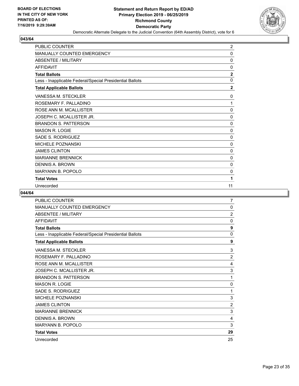

| <b>PUBLIC COUNTER</b>                                    | $\overline{2}$ |
|----------------------------------------------------------|----------------|
| <b>MANUALLY COUNTED EMERGENCY</b>                        | 0              |
| <b>ABSENTEE / MILITARY</b>                               | 0              |
| <b>AFFIDAVIT</b>                                         | 0              |
| <b>Total Ballots</b>                                     | $\overline{2}$ |
| Less - Inapplicable Federal/Special Presidential Ballots | 0              |
| <b>Total Applicable Ballots</b>                          | $\mathbf{2}$   |
| VANESSA M. STECKLER                                      | $\mathbf{0}$   |
| ROSEMARY F. PALLADINO                                    | 1              |
| ROSE ANN M. MCALLISTER                                   | 0              |
| JOSEPH C. MCALLISTER JR.                                 | $\mathbf 0$    |
| <b>BRANDON S. PATTERSON</b>                              | 0              |
| <b>MASON R. LOGIE</b>                                    | $\mathbf 0$    |
| SADE S. RODRIGUEZ                                        | 0              |
| <b>MICHELE POZNANSKI</b>                                 | 0              |
| <b>JAMES CLINTON</b>                                     | 0              |
| <b>MARIANNE BRENNICK</b>                                 | 0              |
| <b>DENNIS A. BROWN</b>                                   | 0              |
| <b>MARYANN B. POPOLO</b>                                 | 0              |
| <b>Total Votes</b>                                       | 1              |
| Unrecorded                                               | 11             |

| PUBLIC COUNTER                                           | 7              |
|----------------------------------------------------------|----------------|
| <b>MANUALLY COUNTED EMERGENCY</b>                        | $\mathbf{0}$   |
| <b>ABSENTEE / MILITARY</b>                               | $\overline{2}$ |
| <b>AFFIDAVIT</b>                                         | $\mathbf{0}$   |
| <b>Total Ballots</b>                                     | 9              |
| Less - Inapplicable Federal/Special Presidential Ballots | $\mathbf{0}$   |
| <b>Total Applicable Ballots</b>                          | 9              |
| VANESSA M. STECKLER                                      | 3              |
| ROSEMARY F. PALLADINO                                    | $\overline{2}$ |
| ROSE ANN M. MCALLISTER                                   | 4              |
| JOSEPH C. MCALLISTER JR.                                 | 3              |
| <b>BRANDON S. PATTERSON</b>                              | 1              |
| <b>MASON R. LOGIE</b>                                    | 0              |
| SADE S. RODRIGUEZ                                        | 1              |
| <b>MICHELE POZNANSKI</b>                                 | 3              |
| <b>JAMES CLINTON</b>                                     | $\overline{2}$ |
| <b>MARIANNE BRENNICK</b>                                 | 3              |
| <b>DENNIS A. BROWN</b>                                   | 4              |
| <b>MARYANN B. POPOLO</b>                                 | 3              |
| <b>Total Votes</b>                                       | 29             |
| Unrecorded                                               | 25             |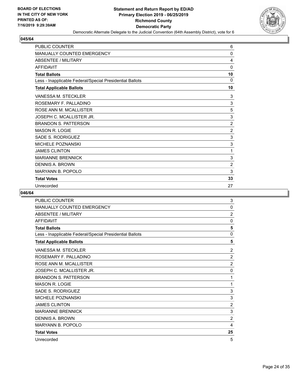

| <b>PUBLIC COUNTER</b>                                    | 6              |
|----------------------------------------------------------|----------------|
| MANUALLY COUNTED EMERGENCY                               | 0              |
| <b>ABSENTEE / MILITARY</b>                               | 4              |
| <b>AFFIDAVIT</b>                                         | 0              |
| <b>Total Ballots</b>                                     | 10             |
| Less - Inapplicable Federal/Special Presidential Ballots | 0              |
| <b>Total Applicable Ballots</b>                          | 10             |
| <b>VANESSA M. STECKLER</b>                               | 3              |
| ROSEMARY F. PALLADINO                                    | 3              |
| ROSE ANN M. MCALLISTER                                   | 5              |
| JOSEPH C. MCALLISTER JR.                                 | 3              |
| <b>BRANDON S. PATTERSON</b>                              | $\overline{2}$ |
| <b>MASON R. LOGIE</b>                                    | $\overline{2}$ |
| SADE S. RODRIGUEZ                                        | 3              |
| <b>MICHELE POZNANSKI</b>                                 | 3              |
| <b>JAMES CLINTON</b>                                     | 1              |
| <b>MARIANNE BRENNICK</b>                                 | 3              |
| DENNIS A. BROWN                                          | $\overline{2}$ |
| MARYANN B. POPOLO                                        | 3              |
| <b>Total Votes</b>                                       | 33             |
| Unrecorded                                               | 27             |

| <b>PUBLIC COUNTER</b>                                    | 3              |
|----------------------------------------------------------|----------------|
| MANUALLY COUNTED EMERGENCY                               | $\mathbf{0}$   |
| ABSENTEE / MILITARY                                      | $\overline{2}$ |
| <b>AFFIDAVIT</b>                                         | 0              |
| <b>Total Ballots</b>                                     | 5              |
| Less - Inapplicable Federal/Special Presidential Ballots | $\mathbf{0}$   |
| <b>Total Applicable Ballots</b>                          | 5              |
| VANESSA M. STECKLER                                      | 2              |
| ROSEMARY F. PALLADINO                                    | $\overline{c}$ |
| ROSE ANN M. MCALLISTER                                   | $\overline{2}$ |
| JOSEPH C. MCALLISTER JR.                                 | $\mathbf 0$    |
| <b>BRANDON S. PATTERSON</b>                              | 1              |
| <b>MASON R. LOGIE</b>                                    | 1              |
| SADE S. RODRIGUEZ                                        | 3              |
| <b>MICHELE POZNANSKI</b>                                 | 3              |
| <b>JAMES CLINTON</b>                                     | $\overline{2}$ |
| <b>MARIANNE BRENNICK</b>                                 | 3              |
| <b>DENNIS A. BROWN</b>                                   | $\overline{2}$ |
| <b>MARYANN B. POPOLO</b>                                 | 4              |
| <b>Total Votes</b>                                       | 25             |
| Unrecorded                                               | 5              |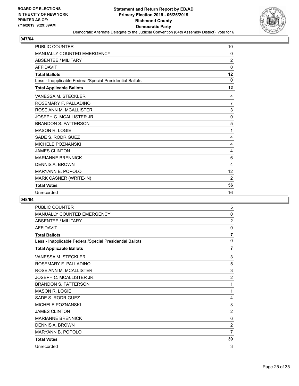

| <b>PUBLIC COUNTER</b>                                    | 10             |
|----------------------------------------------------------|----------------|
| <b>MANUALLY COUNTED EMERGENCY</b>                        | 0              |
| <b>ABSENTEE / MILITARY</b>                               | $\overline{2}$ |
| <b>AFFIDAVIT</b>                                         | $\mathbf 0$    |
| <b>Total Ballots</b>                                     | 12             |
| Less - Inapplicable Federal/Special Presidential Ballots | 0              |
| <b>Total Applicable Ballots</b>                          | 12             |
| <b>VANESSA M. STECKLER</b>                               | 4              |
| ROSEMARY F. PALLADINO                                    | $\overline{7}$ |
| ROSE ANN M. MCALLISTER                                   | 3              |
| JOSEPH C. MCALLISTER JR.                                 | 0              |
| <b>BRANDON S. PATTERSON</b>                              | 5              |
| <b>MASON R. LOGIE</b>                                    | 1              |
| SADE S. RODRIGUEZ                                        | 4              |
| <b>MICHELE POZNANSKI</b>                                 | 4              |
| <b>JAMES CLINTON</b>                                     | 4              |
| <b>MARIANNE BRENNICK</b>                                 | 6              |
| <b>DENNIS A. BROWN</b>                                   | 4              |
| <b>MARYANN B. POPOLO</b>                                 | 12             |
| MARK CASNER (WRITE-IN)                                   | 2              |
| <b>Total Votes</b>                                       | 56             |
| Unrecorded                                               | 16             |

| <b>PUBLIC COUNTER</b>                                    | 5              |
|----------------------------------------------------------|----------------|
| MANUALLY COUNTED EMERGENCY                               | 0              |
| <b>ABSENTEE / MILITARY</b>                               | $\overline{2}$ |
| <b>AFFIDAVIT</b>                                         | 0              |
| <b>Total Ballots</b>                                     | $\overline{7}$ |
| Less - Inapplicable Federal/Special Presidential Ballots | $\mathbf{0}$   |
| <b>Total Applicable Ballots</b>                          | 7              |
| VANESSA M. STECKLER                                      | 3              |
| ROSEMARY F. PALLADINO                                    | 5              |
| ROSE ANN M. MCALLISTER                                   | 3              |
| JOSEPH C. MCALLISTER JR.                                 | $\overline{2}$ |
| <b>BRANDON S. PATTERSON</b>                              | 1              |
| <b>MASON R. LOGIE</b>                                    | 1              |
| SADE S. RODRIGUEZ                                        | 4              |
| MICHELE POZNANSKI                                        | 3              |
| <b>JAMES CLINTON</b>                                     | $\overline{2}$ |
| <b>MARIANNE BRENNICK</b>                                 | 6              |
| <b>DENNIS A. BROWN</b>                                   | $\overline{2}$ |
| <b>MARYANN B. POPOLO</b>                                 | $\overline{7}$ |
| <b>Total Votes</b>                                       | 39             |
| Unrecorded                                               | 3              |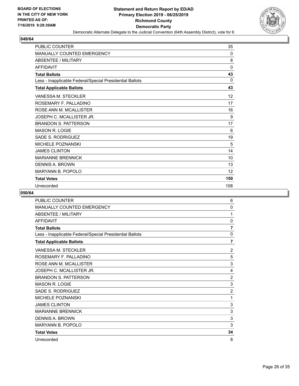

| <b>PUBLIC COUNTER</b>                                    | 35           |
|----------------------------------------------------------|--------------|
| MANUALLY COUNTED EMERGENCY                               | 0            |
| <b>ABSENTEE / MILITARY</b>                               | 8            |
| <b>AFFIDAVIT</b>                                         | $\mathbf{0}$ |
| <b>Total Ballots</b>                                     | 43           |
| Less - Inapplicable Federal/Special Presidential Ballots | 0            |
| <b>Total Applicable Ballots</b>                          | 43           |
| VANESSA M. STECKLER                                      | 12           |
| ROSEMARY F. PALLADINO                                    | 17           |
| ROSE ANN M. MCALLISTER                                   | 16           |
| JOSEPH C. MCALLISTER JR.                                 | 9            |
| <b>BRANDON S. PATTERSON</b>                              | 17           |
| <b>MASON R. LOGIE</b>                                    | 6            |
| SADE S. RODRIGUEZ                                        | 19           |
| <b>MICHELE POZNANSKI</b>                                 | 5            |
| <b>JAMES CLINTON</b>                                     | 14           |
| <b>MARIANNE BRENNICK</b>                                 | 10           |
| <b>DENNIS A. BROWN</b>                                   | 13           |
| <b>MARYANN B. POPOLO</b>                                 | 12           |
| <b>Total Votes</b>                                       | 150          |
| Unrecorded                                               | 108          |

| PUBLIC COUNTER                                           | 6              |
|----------------------------------------------------------|----------------|
| <b>MANUALLY COUNTED EMERGENCY</b>                        | 0              |
| <b>ABSENTEE / MILITARY</b>                               | 1              |
| <b>AFFIDAVIT</b>                                         | $\mathbf{0}$   |
| <b>Total Ballots</b>                                     | $\overline{7}$ |
| Less - Inapplicable Federal/Special Presidential Ballots | $\mathbf{0}$   |
| <b>Total Applicable Ballots</b>                          | $\overline{7}$ |
| VANESSA M. STECKLER                                      | 2              |
| ROSEMARY F. PALLADINO                                    | 5              |
| ROSE ANN M. MCALLISTER                                   | 3              |
| JOSEPH C. MCALLISTER JR.                                 | 4              |
| <b>BRANDON S. PATTERSON</b>                              | $\overline{2}$ |
| <b>MASON R. LOGIE</b>                                    | 3              |
| SADE S. RODRIGUEZ                                        | $\overline{2}$ |
| <b>MICHELE POZNANSKI</b>                                 | 1              |
| <b>JAMES CLINTON</b>                                     | 3              |
| <b>MARIANNE BRENNICK</b>                                 | 3              |
| <b>DENNIS A. BROWN</b>                                   | 3              |
| <b>MARYANN B. POPOLO</b>                                 | 3              |
| <b>Total Votes</b>                                       | 34             |
| Unrecorded                                               | 8              |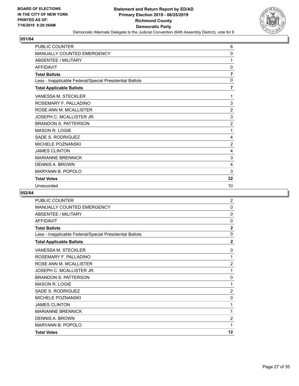

| PUBLIC COUNTER                                           | 6              |
|----------------------------------------------------------|----------------|
| MANUALLY COUNTED EMERGENCY                               | $\Omega$       |
| <b>ABSENTEE / MILITARY</b>                               | 1              |
| <b>AFFIDAVIT</b>                                         | $\mathbf{0}$   |
| <b>Total Ballots</b>                                     | $\overline{7}$ |
| Less - Inapplicable Federal/Special Presidential Ballots | $\mathbf{0}$   |
| <b>Total Applicable Ballots</b>                          | $\overline{7}$ |
| VANESSA M. STECKLER                                      | 1              |
| ROSEMARY F. PALLADINO                                    | 3              |
| ROSE ANN M. MCALLISTER                                   | $\overline{c}$ |
| JOSEPH C. MCALLISTER JR.                                 | 3              |
| <b>BRANDON S. PATTERSON</b>                              | $\overline{2}$ |
| <b>MASON R. LOGIE</b>                                    | 1              |
| SADE S. RODRIGUEZ                                        | 4              |
| <b>MICHELE POZNANSKI</b>                                 | $\overline{2}$ |
| <b>JAMES CLINTON</b>                                     | 4              |
| <b>MARIANNE BRENNICK</b>                                 | 3              |
| <b>DENNIS A. BROWN</b>                                   | 4              |
| <b>MARYANN B. POPOLO</b>                                 | 3              |
| <b>Total Votes</b>                                       | 32             |
| Unrecorded                                               | 10             |

| PUBLIC COUNTER                                           | $\overline{2}$ |
|----------------------------------------------------------|----------------|
| MANUALLY COUNTED EMERGENCY                               | $\Omega$       |
| <b>ABSENTEE / MILITARY</b>                               | $\mathbf{0}$   |
| <b>AFFIDAVIT</b>                                         | 0              |
| <b>Total Ballots</b>                                     | $\overline{2}$ |
| Less - Inapplicable Federal/Special Presidential Ballots | 0              |
| <b>Total Applicable Ballots</b>                          | $\overline{2}$ |
| <b>VANESSA M. STECKLER</b>                               | 0              |
| ROSEMARY F. PALLADINO                                    | 1              |
| ROSE ANN M. MCALLISTER                                   | $\overline{2}$ |
| JOSEPH C. MCALLISTER JR.                                 | 1              |
| <b>BRANDON S. PATTERSON</b>                              | 0              |
| <b>MASON R. LOGIE</b>                                    | 1              |
| SADE S. RODRIGUEZ                                        | $\overline{2}$ |
| <b>MICHELE POZNANSKI</b>                                 | 0              |
| <b>JAMES CLINTON</b>                                     | 1              |
| <b>MARIANNE BRENNICK</b>                                 | 1              |
| <b>DENNIS A. BROWN</b>                                   | $\overline{2}$ |
| <b>MARYANN B. POPOLO</b>                                 | 1              |
| <b>Total Votes</b>                                       | 12             |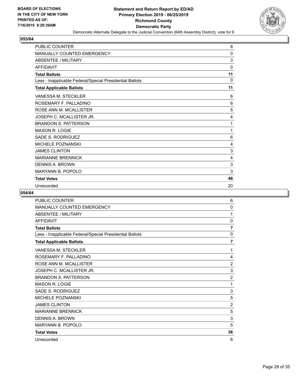

| <b>PUBLIC COUNTER</b>                                    | 8  |
|----------------------------------------------------------|----|
| MANUALLY COUNTED EMERGENCY                               | 0  |
| <b>ABSENTEE / MILITARY</b>                               | 3  |
| <b>AFFIDAVIT</b>                                         | 0  |
| <b>Total Ballots</b>                                     | 11 |
| Less - Inapplicable Federal/Special Presidential Ballots | 0  |
| <b>Total Applicable Ballots</b>                          | 11 |
| <b>VANESSA M. STECKLER</b>                               | 6  |
| ROSEMARY F. PALLADINO                                    | 6  |
| ROSE ANN M. MCALLISTER                                   | 5  |
| JOSEPH C. MCALLISTER JR.                                 | 4  |
| <b>BRANDON S. PATTERSON</b>                              | 1  |
| <b>MASON R. LOGIE</b>                                    | 1  |
| SADE S. RODRIGUEZ                                        | 6  |
| <b>MICHELE POZNANSKI</b>                                 | 4  |
| <b>JAMES CLINTON</b>                                     | 3  |
| <b>MARIANNE BRENNICK</b>                                 | 4  |
| DENNIS A. BROWN                                          | 3  |
| MARYANN B. POPOLO                                        | 3  |
| <b>Total Votes</b>                                       | 46 |
| Unrecorded                                               | 20 |

| PUBLIC COUNTER                                           | 6              |
|----------------------------------------------------------|----------------|
| MANUALLY COUNTED EMERGENCY                               | $\mathbf{0}$   |
| <b>ABSENTEE / MILITARY</b>                               | 1              |
| <b>AFFIDAVIT</b>                                         | 0              |
| <b>Total Ballots</b>                                     | $\overline{7}$ |
| Less - Inapplicable Federal/Special Presidential Ballots | 0              |
| <b>Total Applicable Ballots</b>                          | 7              |
| VANESSA M. STECKLER                                      | 1              |
| ROSEMARY F. PALLADINO                                    | 4              |
| ROSE ANN M. MCALLISTER                                   | $\overline{2}$ |
| JOSEPH C. MCALLISTER JR.                                 | 3              |
| <b>BRANDON S. PATTERSON</b>                              | $\overline{2}$ |
| <b>MASON R. LOGIE</b>                                    | 1              |
| SADE S. RODRIGUEZ                                        | 3              |
| MICHELE POZNANSKI                                        | 5              |
| <b>JAMES CLINTON</b>                                     | $\overline{2}$ |
| <b>MARIANNE BRENNICK</b>                                 | 5              |
| <b>DENNIS A. BROWN</b>                                   | 3              |
| MARYANN B. POPOLO                                        | 5              |
| <b>Total Votes</b>                                       | 36             |
| Unrecorded                                               | 6              |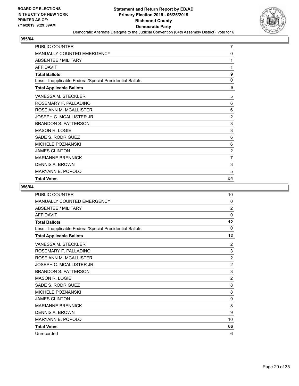

| PUBLIC COUNTER                                           | $\overline{7}$ |
|----------------------------------------------------------|----------------|
| <b>MANUALLY COUNTED EMERGENCY</b>                        | 0              |
| ABSENTEE / MILITARY                                      | 1              |
| <b>AFFIDAVIT</b>                                         | 1              |
| <b>Total Ballots</b>                                     | 9              |
| Less - Inapplicable Federal/Special Presidential Ballots | 0              |
| <b>Total Applicable Ballots</b>                          | 9              |
| VANESSA M. STECKLER                                      | 5              |
| ROSEMARY F. PALLADINO                                    | 6              |
| ROSE ANN M. MCALLISTER                                   | 6              |
| JOSEPH C. MCALLISTER JR.                                 | $\overline{2}$ |
| <b>BRANDON S. PATTERSON</b>                              | 3              |
| <b>MASON R. LOGIE</b>                                    | 3              |
| SADE S. RODRIGUEZ                                        | 6              |
| <b>MICHELE POZNANSKI</b>                                 | 6              |
| <b>JAMES CLINTON</b>                                     | $\overline{2}$ |
| <b>MARIANNE BRENNICK</b>                                 | $\overline{7}$ |
| DENNIS A. BROWN                                          | 3              |
| <b>MARYANN B. POPOLO</b>                                 | 5              |
| <b>Total Votes</b>                                       | 54             |

| <b>PUBLIC COUNTER</b>                                    | 10             |
|----------------------------------------------------------|----------------|
| <b>MANUALLY COUNTED EMERGENCY</b>                        | $\mathbf{0}$   |
| ABSENTEE / MILITARY                                      | $\overline{2}$ |
| <b>AFFIDAVIT</b>                                         | 0              |
| <b>Total Ballots</b>                                     | 12             |
| Less - Inapplicable Federal/Special Presidential Ballots | 0              |
| <b>Total Applicable Ballots</b>                          | 12             |
| <b>VANESSA M. STECKLER</b>                               | 2              |
| ROSEMARY F. PALLADINO                                    | 3              |
| ROSE ANN M. MCALLISTER                                   | $\overline{2}$ |
| JOSEPH C. MCALLISTER JR.                                 | $\overline{2}$ |
| <b>BRANDON S. PATTERSON</b>                              | 3              |
| <b>MASON R. LOGIE</b>                                    | 2              |
| SADE S. RODRIGUEZ                                        | 8              |
| <b>MICHELE POZNANSKI</b>                                 | 8              |
| <b>JAMES CLINTON</b>                                     | 9              |
| <b>MARIANNE BRENNICK</b>                                 | 8              |
| <b>DENNIS A. BROWN</b>                                   | 9              |
| MARYANN B. POPOLO                                        | 10             |
| <b>Total Votes</b>                                       | 66             |
| Unrecorded                                               | 6              |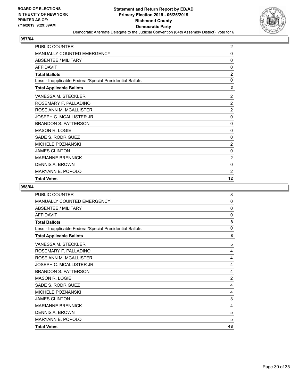

| <b>PUBLIC COUNTER</b>                                    | $\overline{2}$ |
|----------------------------------------------------------|----------------|
| <b>MANUALLY COUNTED EMERGENCY</b>                        | 0              |
| <b>ABSENTEE / MILITARY</b>                               | 0              |
| <b>AFFIDAVIT</b>                                         | 0              |
| <b>Total Ballots</b>                                     | $\overline{2}$ |
| Less - Inapplicable Federal/Special Presidential Ballots | $\mathbf 0$    |
| <b>Total Applicable Ballots</b>                          | $\overline{2}$ |
| VANESSA M. STECKLER                                      | $\overline{2}$ |
| ROSEMARY F. PALLADINO                                    | $\overline{2}$ |
| ROSE ANN M. MCALLISTER                                   | $\overline{2}$ |
| JOSEPH C. MCALLISTER JR.                                 | $\mathbf 0$    |
| <b>BRANDON S. PATTERSON</b>                              | 0              |
| <b>MASON R. LOGIE</b>                                    | 0              |
| SADE S. RODRIGUEZ                                        | 0              |
| <b>MICHELE POZNANSKI</b>                                 | $\overline{2}$ |
| <b>JAMES CLINTON</b>                                     | 0              |
| <b>MARIANNE BRENNICK</b>                                 | $\overline{2}$ |
| DENNIS A. BROWN                                          | $\Omega$       |
| <b>MARYANN B. POPOLO</b>                                 | $\overline{2}$ |
| <b>Total Votes</b>                                       | 12             |

| <b>PUBLIC COUNTER</b>                                    | 8            |
|----------------------------------------------------------|--------------|
| MANUALLY COUNTED EMERGENCY                               | 0            |
| ABSENTEE / MILITARY                                      | 0            |
| <b>AFFIDAVIT</b>                                         | $\mathbf{0}$ |
| <b>Total Ballots</b>                                     | 8            |
| Less - Inapplicable Federal/Special Presidential Ballots | $\mathbf{0}$ |
| <b>Total Applicable Ballots</b>                          | 8            |
| VANESSA M. STECKLER                                      | 5            |
| ROSEMARY F. PALLADINO                                    | 4            |
| ROSE ANN M. MCALLISTER                                   | 4            |
| JOSEPH C. MCALLISTER JR.                                 | 4            |
| <b>BRANDON S. PATTERSON</b>                              | 4            |
| <b>MASON R. LOGIE</b>                                    | 2            |
| SADE S. RODRIGUEZ                                        | 4            |
| <b>MICHELE POZNANSKI</b>                                 | 4            |
| <b>JAMES CLINTON</b>                                     | 3            |
| <b>MARIANNE BRENNICK</b>                                 | 4            |
| DENNIS A. BROWN                                          | 5            |
| <b>MARYANN B. POPOLO</b>                                 | 5            |
| <b>Total Votes</b>                                       | 48           |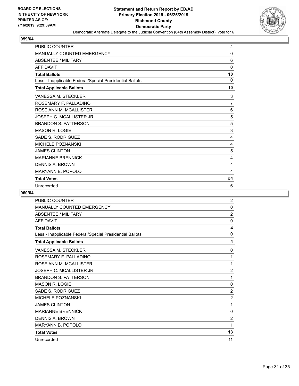

| PUBLIC COUNTER                                           | 4              |
|----------------------------------------------------------|----------------|
| MANUALLY COUNTED EMERGENCY                               | $\Omega$       |
| <b>ABSENTEE / MILITARY</b>                               | 6              |
| <b>AFFIDAVIT</b>                                         | $\mathbf{0}$   |
| <b>Total Ballots</b>                                     | 10             |
| Less - Inapplicable Federal/Special Presidential Ballots | $\Omega$       |
| <b>Total Applicable Ballots</b>                          | 10             |
| VANESSA M. STECKLER                                      | 3              |
| ROSEMARY F. PALLADINO                                    | $\overline{7}$ |
| ROSE ANN M. MCALLISTER                                   | 6              |
| JOSEPH C. MCALLISTER JR.                                 | 5              |
| <b>BRANDON S. PATTERSON</b>                              | 5              |
| <b>MASON R. LOGIE</b>                                    | 3              |
| SADE S. RODRIGUEZ                                        | 4              |
| MICHELE POZNANSKI                                        | 4              |
| <b>JAMES CLINTON</b>                                     | 5              |
| <b>MARIANNE BRENNICK</b>                                 | 4              |
| <b>DENNIS A. BROWN</b>                                   | 4              |
| <b>MARYANN B. POPOLO</b>                                 | 4              |
| <b>Total Votes</b>                                       | 54             |
| Unrecorded                                               | 6              |

| <b>PUBLIC COUNTER</b>                                    | 2              |
|----------------------------------------------------------|----------------|
| <b>MANUALLY COUNTED EMERGENCY</b>                        | $\mathbf{0}$   |
| <b>ABSENTEE / MILITARY</b>                               | $\overline{2}$ |
| <b>AFFIDAVIT</b>                                         | $\mathbf{0}$   |
| <b>Total Ballots</b>                                     | 4              |
| Less - Inapplicable Federal/Special Presidential Ballots | $\mathbf{0}$   |
| <b>Total Applicable Ballots</b>                          | 4              |
| VANESSA M. STECKLER                                      | 0              |
| ROSEMARY F. PALLADINO                                    | 1              |
| ROSE ANN M. MCALLISTER                                   | 1              |
| JOSEPH C. MCALLISTER JR.                                 | $\overline{2}$ |
| <b>BRANDON S. PATTERSON</b>                              | 1              |
| <b>MASON R. LOGIE</b>                                    | 0              |
| SADE S. RODRIGUEZ                                        | $\overline{2}$ |
| <b>MICHELE POZNANSKI</b>                                 | $\overline{2}$ |
| <b>JAMES CLINTON</b>                                     | 1              |
| <b>MARIANNE BRENNICK</b>                                 | $\mathbf{0}$   |
| <b>DENNIS A. BROWN</b>                                   | $\overline{2}$ |
| <b>MARYANN B. POPOLO</b>                                 | 1              |
| <b>Total Votes</b>                                       | 13             |
| Unrecorded                                               | 11             |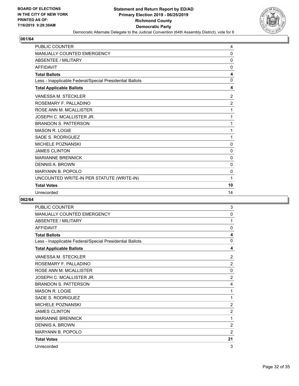

| <b>PUBLIC COUNTER</b>                                    | 4              |
|----------------------------------------------------------|----------------|
| MANUALLY COUNTED EMERGENCY                               | 0              |
| <b>ABSENTEE / MILITARY</b>                               | 0              |
| <b>AFFIDAVIT</b>                                         | 0              |
| <b>Total Ballots</b>                                     | 4              |
| Less - Inapplicable Federal/Special Presidential Ballots | 0              |
| <b>Total Applicable Ballots</b>                          | 4              |
| <b>VANESSA M. STECKLER</b>                               | $\overline{2}$ |
| ROSEMARY F. PALLADINO                                    | $\overline{2}$ |
| ROSE ANN M. MCALLISTER                                   | 1              |
| JOSEPH C. MCALLISTER JR.                                 | 1              |
| <b>BRANDON S. PATTERSON</b>                              | 1              |
| <b>MASON R. LOGIE</b>                                    | 1              |
| <b>SADE S. RODRIGUEZ</b>                                 | 1              |
| <b>MICHELE POZNANSKI</b>                                 | $\mathbf 0$    |
| <b>JAMES CLINTON</b>                                     | 0              |
| <b>MARIANNE BRENNICK</b>                                 | $\mathbf 0$    |
| <b>DENNIS A. BROWN</b>                                   | 0              |
| MARYANN B. POPOLO                                        | $\mathbf{0}$   |
| UNCOUNTED WRITE-IN PER STATUTE (WRITE-IN)                | 1              |
| <b>Total Votes</b>                                       | 10             |
| Unrecorded                                               | 14             |

| <b>PUBLIC COUNTER</b>                                    | 3              |
|----------------------------------------------------------|----------------|
| MANUALLY COUNTED EMERGENCY                               | $\mathbf 0$    |
| <b>ABSENTEE / MILITARY</b>                               | 1              |
| <b>AFFIDAVIT</b>                                         | 0              |
| <b>Total Ballots</b>                                     | 4              |
| Less - Inapplicable Federal/Special Presidential Ballots | $\mathbf{0}$   |
| <b>Total Applicable Ballots</b>                          | 4              |
| VANESSA M. STECKLER                                      | $\overline{2}$ |
| ROSEMARY F. PALLADINO                                    | $\overline{2}$ |
| ROSE ANN M. MCALLISTER                                   | $\mathbf{0}$   |
| JOSEPH C. MCALLISTER JR.                                 | $\overline{2}$ |
| <b>BRANDON S. PATTERSON</b>                              | 4              |
| <b>MASON R. LOGIE</b>                                    | 1              |
| SADE S. RODRIGUEZ                                        | 1              |
| MICHELE POZNANSKI                                        | $\overline{c}$ |
| <b>JAMES CLINTON</b>                                     | $\overline{2}$ |
| <b>MARIANNE BRENNICK</b>                                 | 1              |
| <b>DENNIS A. BROWN</b>                                   | $\overline{2}$ |
| <b>MARYANN B. POPOLO</b>                                 | $\overline{2}$ |
| <b>Total Votes</b>                                       | 21             |
| Unrecorded                                               | 3              |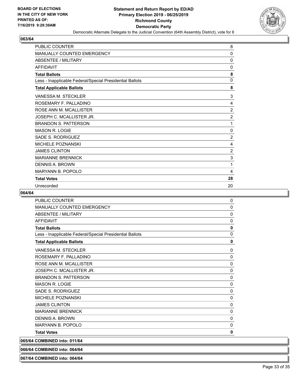

| <b>PUBLIC COUNTER</b>                                    | 8              |
|----------------------------------------------------------|----------------|
| <b>MANUALLY COUNTED EMERGENCY</b>                        | 0              |
| <b>ABSENTEE / MILITARY</b>                               | 0              |
| <b>AFFIDAVIT</b>                                         | 0              |
| <b>Total Ballots</b>                                     | 8              |
| Less - Inapplicable Federal/Special Presidential Ballots | $\mathbf{0}$   |
| <b>Total Applicable Ballots</b>                          | 8              |
| VANESSA M. STECKLER                                      | 3              |
| ROSEMARY F. PALLADINO                                    | 4              |
| ROSE ANN M. MCALLISTER                                   | $\overline{2}$ |
| JOSEPH C. MCALLISTER JR.                                 | $\overline{c}$ |
| <b>BRANDON S. PATTERSON</b>                              | 1              |
| <b>MASON R. LOGIE</b>                                    | 0              |
| SADE S. RODRIGUEZ                                        | $\overline{c}$ |
| <b>MICHELE POZNANSKI</b>                                 | 4              |
| <b>JAMES CLINTON</b>                                     | $\overline{2}$ |
| <b>MARIANNE BRENNICK</b>                                 | 3              |
| <b>DENNIS A. BROWN</b>                                   | 1              |
| <b>MARYANN B. POPOLO</b>                                 | 4              |
| <b>Total Votes</b>                                       | 28             |
| Unrecorded                                               | 20             |

| <b>PUBLIC COUNTER</b>                                    | 0            |
|----------------------------------------------------------|--------------|
| <b>MANUALLY COUNTED EMERGENCY</b>                        | $\mathbf{0}$ |
| ABSENTEE / MILITARY                                      | $\mathbf 0$  |
| <b>AFFIDAVIT</b>                                         | $\mathbf 0$  |
| <b>Total Ballots</b>                                     | $\mathbf 0$  |
| Less - Inapplicable Federal/Special Presidential Ballots | $\Omega$     |
| <b>Total Applicable Ballots</b>                          | 0            |
| VANESSA M. STECKLER                                      | $\mathbf 0$  |
| ROSEMARY F. PALLADINO                                    | $\Omega$     |
| ROSE ANN M. MCALLISTER                                   | 0            |
| JOSEPH C. MCALLISTER JR.                                 | 0            |
| <b>BRANDON S. PATTERSON</b>                              | 0            |
| <b>MASON R. LOGIE</b>                                    | $\mathbf 0$  |
| SADE S. RODRIGUEZ                                        | $\mathbf 0$  |
| <b>MICHELE POZNANSKI</b>                                 | $\Omega$     |
| <b>JAMES CLINTON</b>                                     | $\Omega$     |
| <b>MARIANNE BRENNICK</b>                                 | 0            |
| <b>DENNIS A. BROWN</b>                                   | $\Omega$     |
| <b>MARYANN B. POPOLO</b>                                 | 0            |
| <b>Total Votes</b>                                       | 0            |
| 065/64 COMBINED into: 011/64                             |              |
| 066/64 COMBINED into: 064/64                             |              |
| 067/64 COMBINED into: 064/64                             |              |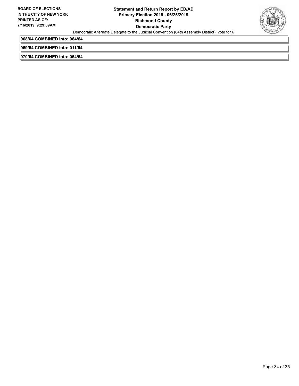

**068/64 COMBINED into: 064/64**

**069/64 COMBINED into: 011/64**

**070/64 COMBINED into: 064/64**